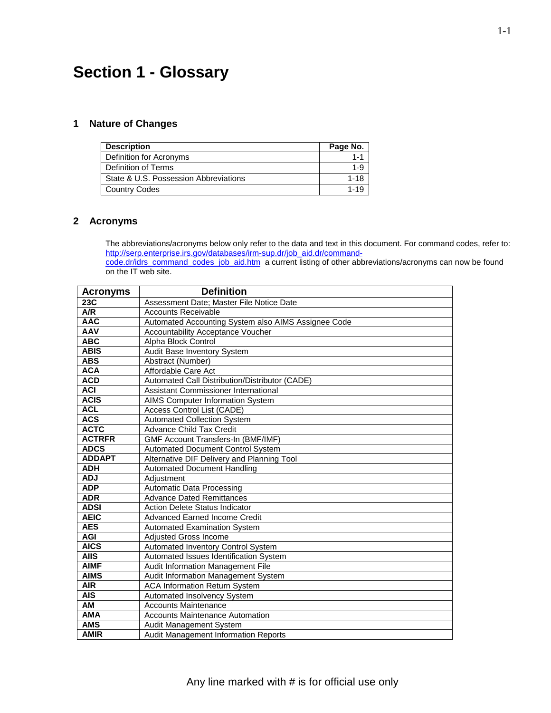# **Section 1 - Glossary**

#### **1 Nature of Changes**

on the IT web site.

| <b>Description</b>                    | Page No. |
|---------------------------------------|----------|
| Definition for Acronyms               |          |
| Definition of Terms                   | $1 - 9$  |
| State & U.S. Possession Abbreviations | 1-18     |
| <b>Country Codes</b>                  | 1.1C     |

#### **2 Acronyms**

The abbreviations/acronyms below only refer to the data and text in this document. For command codes, refer to: [http://serp.enterprise.irs.gov/databases/irm-sup.dr/job\\_aid.dr/command](http://serp.enterprise.irs.gov/databases/irm-sup.dr/job_aid.dr/command-code.dr/idrs_command_codes_job_aid.htm)code.dr/idrs\_command\_codes\_job\_aid.htm a current listing of other abbreviations/acronyms can now be found

| <b>Acronyms</b> | <b>Definition</b>                                   |
|-----------------|-----------------------------------------------------|
| 23C             | Assessment Date; Master File Notice Date            |
| A/R             | <b>Accounts Receivable</b>                          |
| <b>AAC</b>      | Automated Accounting System also AIMS Assignee Code |
| <b>AAV</b>      | Accountability Acceptance Voucher                   |
| <b>ABC</b>      | Alpha Block Control                                 |
| <b>ABIS</b>     | Audit Base Inventory System                         |
| <b>ABS</b>      | Abstract (Number)                                   |
| <b>ACA</b>      | Affordable Care Act                                 |
| <b>ACD</b>      | Automated Call Distribution/Distributor (CADE)      |
| <b>ACI</b>      | Assistant Commissioner International                |
| <b>ACIS</b>     | AIMS Computer Information System                    |
| <b>ACL</b>      | Access Control List (CADE)                          |
| <b>ACS</b>      | <b>Automated Collection System</b>                  |
| <b>ACTC</b>     | <b>Advance Child Tax Credit</b>                     |
| <b>ACTRFR</b>   | <b>GMF Account Transfers-In (BMF/IMF)</b>           |
| <b>ADCS</b>     | <b>Automated Document Control System</b>            |
| <b>ADDAPT</b>   | Alternative DIF Delivery and Planning Tool          |
| ADH             | <b>Automated Document Handling</b>                  |
| <b>ADJ</b>      | Adiustment                                          |
| <b>ADP</b>      | <b>Automatic Data Processing</b>                    |
| <b>ADR</b>      | <b>Advance Dated Remittances</b>                    |
| <b>ADSI</b>     | <b>Action Delete Status Indicator</b>               |
| <b>AEIC</b>     | <b>Advanced Earned Income Credit</b>                |
| <b>AES</b>      | <b>Automated Examination System</b>                 |
| <b>AGI</b>      | Adjusted Gross Income                               |
| <b>AICS</b>     | Automated Inventory Control System                  |
| <b>AIIS</b>     | Automated Issues Identification System              |
| <b>AIMF</b>     | Audit Information Management File                   |
| <b>AIMS</b>     | Audit Information Management System                 |
| <b>AIR</b>      | <b>ACA Information Return System</b>                |
| <b>AIS</b>      | Automated Insolvency System                         |
| AM              | <b>Accounts Maintenance</b>                         |
| <b>AMA</b>      | <b>Accounts Maintenance Automation</b>              |
| <b>AMS</b>      | Audit Management System                             |
| <b>AMIR</b>     | Audit Management Information Reports                |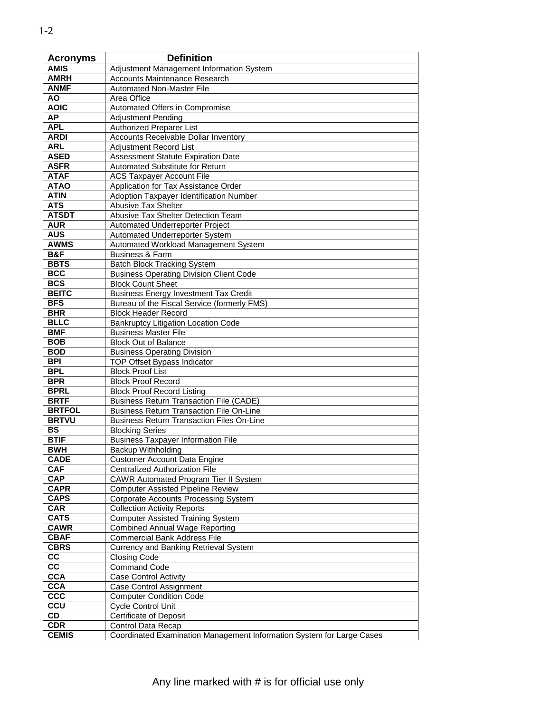| $\angle$    |                                   |
|-------------|-----------------------------------|
| Acronyms    | <b>Definition</b>                 |
| <b>AMIS</b> | Adjustment Management Info        |
| AMRH        | <b>Accounts Maintenance Resea</b> |
| ANMF        | <b>Automated Non-Master File</b>  |
| ΑO          | Area Office                       |
| <b>AOIC</b> | Automated Offers in Compror       |
|             |                                   |

| <b>AMIS</b>     | Adjustment Management Information System                                                    |
|-----------------|---------------------------------------------------------------------------------------------|
| AMRH            | <b>Accounts Maintenance Research</b>                                                        |
| <b>ANMF</b>     | <b>Automated Non-Master File</b>                                                            |
| <b>AO</b>       | Area Office                                                                                 |
| <b>AOIC</b>     | Automated Offers in Compromise                                                              |
| <b>AP</b>       | <b>Adjustment Pending</b>                                                                   |
| <b>APL</b>      | Authorized Preparer List                                                                    |
| <b>ARDI</b>     | <b>Accounts Receivable Dollar Inventory</b>                                                 |
| <b>ARL</b>      | <b>Adjustment Record List</b>                                                               |
| <b>ASED</b>     | Assessment Statute Expiration Date                                                          |
| <b>ASFR</b>     | Automated Substitute for Return                                                             |
| <b>ATAF</b>     | <b>ACS Taxpayer Account File</b>                                                            |
| <b>ATAO</b>     | Application for Tax Assistance Order                                                        |
| <b>ATIN</b>     | Adoption Taxpayer Identification Number                                                     |
| <b>ATS</b>      | <b>Abusive Tax Shelter</b>                                                                  |
| <b>ATSDT</b>    | Abusive Tax Shelter Detection Team                                                          |
| <b>AUR</b>      | Automated Underreporter Project                                                             |
| <b>AUS</b>      | Automated Underreporter System                                                              |
| <b>AWMS</b>     | Automated Workload Management System                                                        |
| B&F             | <b>Business &amp; Farm</b>                                                                  |
| <b>BBTS</b>     | <b>Batch Block Tracking System</b>                                                          |
| <b>BCC</b>      |                                                                                             |
| <b>BCS</b>      | <b>Business Operating Division Client Code</b><br><b>Block Count Sheet</b>                  |
| <b>BEITC</b>    |                                                                                             |
| <b>BFS</b>      | <b>Business Energy Investment Tax Credit</b><br>Bureau of the Fiscal Service (formerly FMS) |
| <b>BHR</b>      | <b>Block Header Record</b>                                                                  |
| <b>BLLC</b>     |                                                                                             |
| <b>BMF</b>      | <b>Bankruptcy Litigation Location Code</b><br><b>Business Master File</b>                   |
| <b>BOB</b>      | <b>Block Out of Balance</b>                                                                 |
| <b>BOD</b>      | <b>Business Operating Division</b>                                                          |
| <b>BPI</b>      | <b>TOP Offset Bypass Indicator</b>                                                          |
| <b>BPL</b>      | <b>Block Proof List</b>                                                                     |
| <b>BPR</b>      | <b>Block Proof Record</b>                                                                   |
| <b>BPRL</b>     | <b>Block Proof Record Listing</b>                                                           |
| <b>BRTF</b>     | <b>Business Return Transaction File (CADE)</b>                                              |
| <b>BRTFOL</b>   | <b>Business Return Transaction File On-Line</b>                                             |
| <b>BRTVU</b>    | <b>Business Return Transaction Files On-Line</b>                                            |
| <b>BS</b>       | <b>Blocking Series</b>                                                                      |
| <b>BTIF</b>     | <b>Business Taxpayer Information File</b>                                                   |
| <b>BWH</b>      | Backup Withholding                                                                          |
| <b>CADE</b>     | <b>Customer Account Data Engine</b>                                                         |
| <b>CAF</b>      | Centralized Authorization File                                                              |
| <b>CAP</b>      | CAWR Automated Program Tier II System                                                       |
| <b>CAPR</b>     | <b>Computer Assisted Pipeline Review</b>                                                    |
| <b>CAPS</b>     | <b>Corporate Accounts Processing System</b>                                                 |
| <b>CAR</b>      | <b>Collection Activity Reports</b>                                                          |
| <b>CATS</b>     | <b>Computer Assisted Training System</b>                                                    |
| <b>CAWR</b>     | <b>Combined Annual Wage Reporting</b>                                                       |
| <b>CBAF</b>     | <b>Commercial Bank Address File</b>                                                         |
| <b>CBRS</b>     | <b>Currency and Banking Retrieval System</b>                                                |
| cc              | <b>Closing Code</b>                                                                         |
| $\overline{cc}$ | <b>Command Code</b>                                                                         |
| <b>CCA</b>      | <b>Case Control Activity</b>                                                                |
| <b>CCA</b>      | Case Control Assignment                                                                     |
| <b>CCC</b>      | <b>Computer Condition Code</b>                                                              |
| CCU             | <b>Cycle Control Unit</b>                                                                   |
| $\overline{CD}$ | <b>Certificate of Deposit</b>                                                               |
| <b>CDR</b>      | Control Data Recap                                                                          |
| <b>CEMIS</b>    | Coordinated Examination Management Information System for Large Cases                       |
|                 |                                                                                             |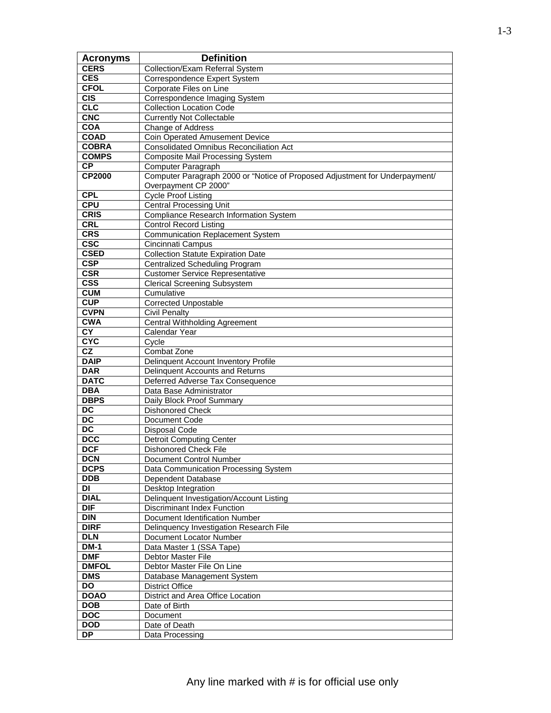| <b>Acronyms</b>           | <b>Definition</b>                                                                                   |
|---------------------------|-----------------------------------------------------------------------------------------------------|
| <b>CERS</b>               | Collection/Exam Referral System                                                                     |
| <b>CES</b>                | Correspondence Expert System                                                                        |
| <b>CFOL</b>               | Corporate Files on Line                                                                             |
| $\overline{CIS}$          | Correspondence Imaging System                                                                       |
| CLC                       | <b>Collection Location Code</b>                                                                     |
| <b>CNC</b>                | <b>Currently Not Collectable</b>                                                                    |
| <b>COA</b>                | Change of Address                                                                                   |
| <b>COAD</b>               | <b>Coin Operated Amusement Device</b>                                                               |
| <b>COBRA</b>              | <b>Consolidated Omnibus Reconciliation Act</b>                                                      |
| <b>COMPS</b>              | <b>Composite Mail Processing System</b>                                                             |
| $\overline{CP}$           | <b>Computer Paragraph</b>                                                                           |
| <b>CP2000</b>             | Computer Paragraph 2000 or "Notice of Proposed Adjustment for Underpayment/<br>Overpayment CP 2000" |
| <b>CPL</b>                | <b>Cycle Proof Listing</b>                                                                          |
| <b>CPU</b>                | <b>Central Processing Unit</b>                                                                      |
| <b>CRIS</b>               | <b>Compliance Research Information System</b>                                                       |
| <b>CRL</b>                | <b>Control Record Listing</b>                                                                       |
| <b>CRS</b>                | <b>Communication Replacement System</b>                                                             |
| csc                       | Cincinnati Campus                                                                                   |
| <b>CSED</b>               | <b>Collection Statute Expiration Date</b>                                                           |
| <b>CSP</b>                | <b>Centralized Scheduling Program</b>                                                               |
| <b>CSR</b>                | <b>Customer Service Representative</b>                                                              |
| $\overline{\text{CSS}}$   | <b>Clerical Screening Subsystem</b>                                                                 |
| <b>CUM</b>                | Cumulative                                                                                          |
| CUP                       | <b>Corrected Unpostable</b>                                                                         |
| <b>CVPN</b>               | <b>Civil Penalty</b>                                                                                |
| <b>CWA</b>                | <b>Central Withholding Agreement</b>                                                                |
| CY                        | Calendar Year                                                                                       |
| <b>CYC</b>                | Cycle                                                                                               |
| $\overline{\text{c}z}$    | Combat Zone                                                                                         |
| <b>DAIP</b>               | Delinquent Account Inventory Profile                                                                |
| <b>DAR</b>                | Delinquent Accounts and Returns                                                                     |
| <b>DATC</b>               | Deferred Adverse Tax Consequence                                                                    |
| <b>DBA</b>                | Data Base Administrator                                                                             |
| <b>DBPS</b>               | Daily Block Proof Summary                                                                           |
| $\overline{DC}$           | <b>Dishonored Check</b>                                                                             |
| DC                        | Document Code                                                                                       |
| $\overline{DC}$           | <b>Disposal Code</b>                                                                                |
| <b>DCC</b>                | <b>Detroit Computing Center</b>                                                                     |
| <b>DCF</b>                | <b>Dishonored Check File</b>                                                                        |
| <b>DCN</b>                | Document Control Number                                                                             |
| <b>DCPS</b>               | Data Communication Processing System                                                                |
| <b>DDB</b>                | Dependent Database                                                                                  |
| DI                        | Desktop Integration                                                                                 |
| <b>DIAL</b>               | Delinquent Investigation/Account Listing                                                            |
| $\overline{DIF}$          | <b>Discriminant Index Function</b>                                                                  |
| <b>DIN</b>                | Document Identification Number                                                                      |
| <b>DIRF</b>               | Delinquency Investigation Research File                                                             |
| <b>DLN</b>                | Document Locator Number                                                                             |
| <b>DM-1</b><br><b>DMF</b> | Data Master 1 (SSA Tape)                                                                            |
| <b>DMFOL</b>              | <b>Debtor Master File</b>                                                                           |
| <b>DMS</b>                | Debtor Master File On Line                                                                          |
| DO                        | Database Management System                                                                          |
| <b>DOAO</b>               | <b>District Office</b><br>District and Area Office Location                                         |
| <b>DOB</b>                |                                                                                                     |
| <b>DOC</b>                | Date of Birth<br>Document                                                                           |
| <b>DOD</b>                | Date of Death                                                                                       |
| <b>DP</b>                 | Data Processing                                                                                     |
|                           |                                                                                                     |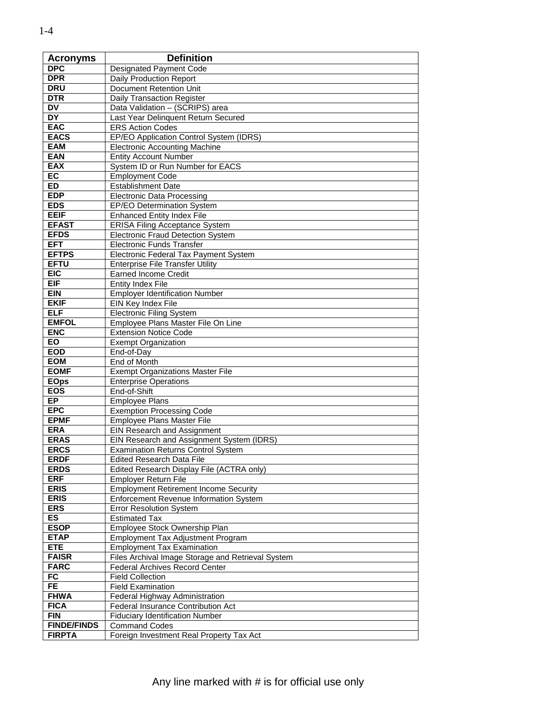| <b>Acronyms</b>            | <b>Definition</b>                                                |
|----------------------------|------------------------------------------------------------------|
| <b>DPC</b>                 | <b>Designated Payment Code</b>                                   |
| <b>DPR</b>                 | <b>Daily Production Report</b>                                   |
| <b>DRU</b>                 | Document Retention Unit                                          |
| <b>DTR</b>                 | <b>Daily Transaction Register</b>                                |
| <b>DV</b>                  | Data Validation - (SCRIPS) area                                  |
| DY                         | Last Year Delinquent Return Secured                              |
| <b>EAC</b>                 | <b>ERS Action Codes</b>                                          |
| <b>EACS</b>                | EP/EO Application Control System (IDRS)                          |
| <b>EAM</b>                 | <b>Electronic Accounting Machine</b>                             |
| <b>EAN</b><br><b>EAX</b>   | <b>Entity Account Number</b><br>System ID or Run Number for EACS |
| EC                         | <b>Employment Code</b>                                           |
| <b>ED</b>                  | <b>Establishment Date</b>                                        |
| <b>EDP</b>                 | <b>Electronic Data Processing</b>                                |
| <b>EDS</b>                 | EP/EO Determination System                                       |
| <b>EEIF</b>                | <b>Enhanced Entity Index File</b>                                |
| <b>EFAST</b>               | <b>ERISA Filing Acceptance System</b>                            |
| <b>EFDS</b>                | Electronic Fraud Detection System                                |
| <b>EFT</b>                 | <b>Electronic Funds Transfer</b>                                 |
| <b>EFTPS</b>               | Electronic Federal Tax Payment System                            |
| <b>EFTU</b>                | <b>Enterprise File Transfer Utility</b>                          |
| EIC                        | <b>Earned Income Credit</b>                                      |
| <b>EIF</b>                 | <b>Entity Index File</b>                                         |
| <b>EIN</b>                 | <b>Employer Identification Number</b>                            |
| <b>EKIF</b>                | EIN Key Index File                                               |
| <b>ELF</b>                 | <b>Electronic Filing System</b>                                  |
| <b>EMFOL</b>               | Employee Plans Master File On Line                               |
| <b>ENC</b>                 | <b>Extension Notice Code</b>                                     |
| $E\overline{O}$            | <b>Exempt Organization</b>                                       |
| <b>EOD</b>                 | End-of-Day                                                       |
| <b>EOM</b>                 | End of Month                                                     |
| <b>EOMF</b>                | <b>Exempt Organizations Master File</b>                          |
| <b>EOps</b><br><b>EOS</b>  | <b>Enterprise Operations</b><br>End-of-Shift                     |
| EP.                        | <b>Employee Plans</b>                                            |
| <b>EPC</b>                 | <b>Exemption Processing Code</b>                                 |
| <b>EPMF</b>                | <b>Employee Plans Master File</b>                                |
| <b>ERA</b>                 | EIN Research and Assignment                                      |
| <b>ERAS</b>                | EIN Research and Assignment System (IDRS)                        |
| <b>ERCS</b>                | <b>Examination Returns Control System</b>                        |
| <b>ERDF</b>                | <b>Edited Research Data File</b>                                 |
| <b>ERDS</b>                | Edited Research Display File (ACTRA only)                        |
| <b>ERF</b>                 | Employer Return File                                             |
| <b>ERIS</b>                | <b>Employment Retirement Income Security</b>                     |
| <b>ERIS</b>                | Enforcement Revenue Information System                           |
| <b>ERS</b>                 | <b>Error Resolution System</b>                                   |
| <b>ES</b>                  | <b>Estimated Tax</b>                                             |
| <b>ESOP</b>                | Employee Stock Ownership Plan                                    |
| <b>ETAP</b>                | <b>Employment Tax Adjustment Program</b>                         |
| <b>ETE</b>                 | <b>Employment Tax Examination</b>                                |
| <b>FAISR</b>               | Files Archival Image Storage and Retrieval System                |
| <b>FARC</b>                | Federal Archives Record Center                                   |
| FC                         | <b>Field Collection</b>                                          |
| <b>FE</b>                  | <b>Field Examination</b>                                         |
| <b>FHWA</b><br><b>FICA</b> | Federal Highway Administration                                   |
| <b>FIN</b>                 | Federal Insurance Contribution Act                               |
| <b>FINDE/FINDS</b>         | <b>Fiduciary Identification Number</b><br><b>Command Codes</b>   |
| <b>FIRPTA</b>              | Foreign Investment Real Property Tax Act                         |
|                            |                                                                  |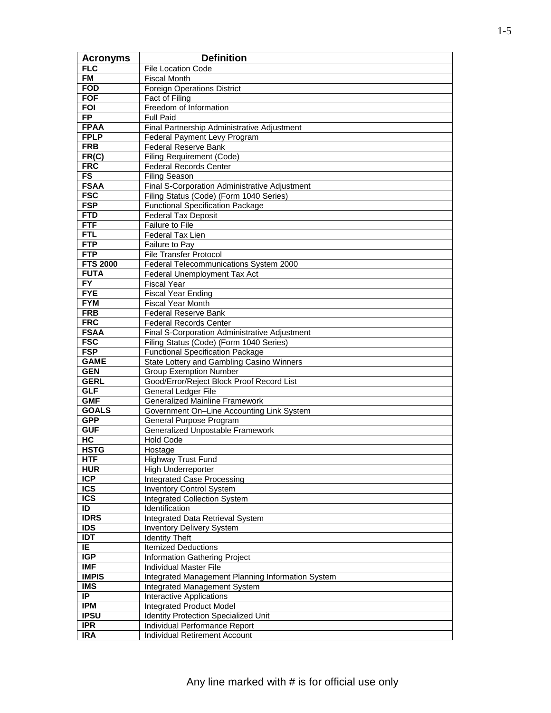| <b>Acronyms</b>           | <b>Definition</b>                                                                  |
|---------------------------|------------------------------------------------------------------------------------|
| <b>FLC</b>                | <b>File Location Code</b>                                                          |
| <b>FM</b>                 | <b>Fiscal Month</b>                                                                |
| <b>FOD</b>                | <b>Foreign Operations District</b>                                                 |
| <b>FOF</b>                | <b>Fact of Filing</b>                                                              |
| <b>FOI</b>                | Freedom of Information                                                             |
| <b>FP</b>                 | <b>Full Paid</b>                                                                   |
| <b>FPAA</b>               | Final Partnership Administrative Adjustment                                        |
| <b>FPLP</b>               | Federal Payment Levy Program                                                       |
| <b>FRB</b>                | <b>Federal Reserve Bank</b>                                                        |
| FR(C)                     | <b>Filing Requirement (Code)</b>                                                   |
| <b>FRC</b>                | <b>Federal Records Center</b>                                                      |
| FS                        | <b>Filing Season</b>                                                               |
| <b>FSAA</b>               | Final S-Corporation Administrative Adjustment                                      |
| <b>FSC</b>                | Filing Status (Code) (Form 1040 Series)                                            |
| <b>FSP</b>                | <b>Functional Specification Package</b>                                            |
| <b>FTD</b>                | <b>Federal Tax Deposit</b>                                                         |
| <b>FTF</b>                | Failure to File                                                                    |
| <b>FTL</b>                | Federal Tax Lien                                                                   |
| <b>FTP</b>                | Failure to Pay                                                                     |
| <b>FTP</b>                | <b>File Transfer Protocol</b>                                                      |
| <b>FTS 2000</b>           | Federal Telecommunications System 2000                                             |
| <b>FUTA</b>               | Federal Unemployment Tax Act                                                       |
| $\overline{FY}$           | <b>Fiscal Year</b>                                                                 |
| <b>FYE</b>                | <b>Fiscal Year Ending</b>                                                          |
| <b>FYM</b>                | <b>Fiscal Year Month</b>                                                           |
| <b>FRB</b>                | <b>Federal Reserve Bank</b>                                                        |
| <b>FRC</b>                | <b>Federal Records Center</b>                                                      |
| <b>FSAA</b>               | Final S-Corporation Administrative Adjustment                                      |
| <b>FSC</b>                | Filing Status (Code) (Form 1040 Series)                                            |
| <b>FSP</b>                | <b>Functional Specification Package</b>                                            |
| <b>GAME</b>               | State Lottery and Gambling Casino Winners                                          |
| <b>GEN</b>                | <b>Group Exemption Number</b>                                                      |
| <b>GERL</b>               | Good/Error/Reject Block Proof Record List                                          |
| <b>GLF</b><br><b>GMF</b>  | General Ledger File                                                                |
| <b>GOALS</b>              | <b>Generalized Mainline Framework</b><br>Government On-Line Accounting Link System |
| <b>GPP</b>                | General Purpose Program                                                            |
| <b>GUF</b>                | <b>Generalized Unpostable Framework</b>                                            |
| HC                        | <b>Hold Code</b>                                                                   |
| <b>HSTG</b>               | Hostage                                                                            |
| <b>HTF</b>                | Highway Trust Fund                                                                 |
| <b>HUR</b>                | High Underreporter                                                                 |
| ICP                       | Integrated Case Processing                                                         |
| <b>ICS</b>                | <b>Inventory Control System</b>                                                    |
| $\overline{\text{ICS}}$   | <b>Integrated Collection System</b>                                                |
| ID                        | Identification                                                                     |
| <b>IDRS</b>               | Integrated Data Retrieval System                                                   |
| <b>IDS</b>                | <b>Inventory Delivery System</b>                                                   |
| <b>IDT</b>                | <b>Identity Theft</b>                                                              |
| IE.                       | <b>Itemized Deductions</b>                                                         |
| IGP                       | Information Gathering Project                                                      |
| $\overline{\mathsf{IMF}}$ | <b>Individual Master File</b>                                                      |
| <b>IMPIS</b>              | Integrated Management Planning Information System                                  |
| <b>IMS</b>                | Integrated Management System                                                       |
| $\overline{IP}$           | Interactive Applications                                                           |
| <b>IPM</b>                | Integrated Product Model                                                           |
| <b>IPSU</b>               | <b>Identity Protection Specialized Unit</b>                                        |
| <b>IPR</b>                | Individual Performance Report                                                      |
| <b>IRA</b>                | Individual Retirement Account                                                      |
|                           |                                                                                    |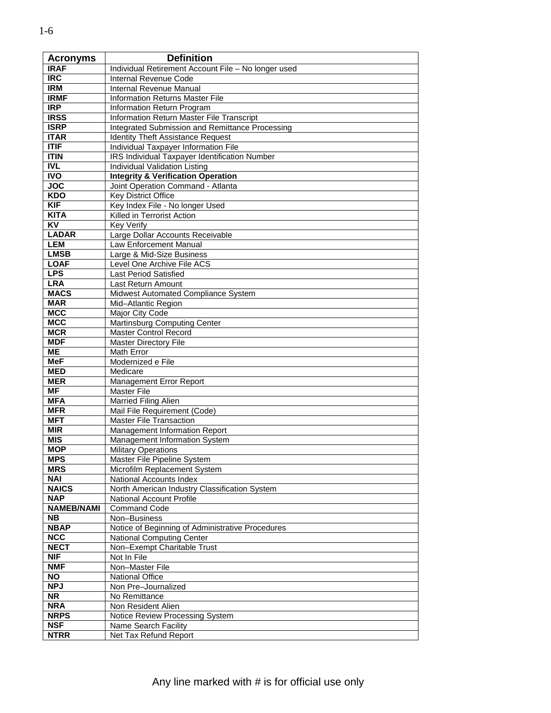| <b>Acronyms</b>   | <b>Definition</b>                                   |
|-------------------|-----------------------------------------------------|
| <b>IRAF</b>       | Individual Retirement Account File - No longer used |
| <b>IRC</b>        | Internal Revenue Code                               |
| <b>IRM</b>        | Internal Revenue Manual                             |
| <b>IRMF</b>       | <b>Information Returns Master File</b>              |
| IRP               | Information Return Program                          |
| <b>IRSS</b>       | Information Return Master File Transcript           |
| <b>ISRP</b>       | Integrated Submission and Remittance Processing     |
| <b>ITAR</b>       | <b>Identity Theft Assistance Request</b>            |
| ITIF              | Individual Taxpayer Information File                |
| <b>ITIN</b>       | IRS Individual Taxpayer Identification Number       |
| <b>IVL</b>        | <b>Individual Validation Listing</b>                |
| <b>IVO</b>        | <b>Integrity &amp; Verification Operation</b>       |
| <b>JOC</b>        | Joint Operation Command - Atlanta                   |
| <b>KDO</b>        | <b>Key District Office</b>                          |
| <b>KIF</b>        | Key Index File - No longer Used                     |
| <b>KITA</b>       | Killed in Terrorist Action                          |
| <b>KV</b>         | <b>Key Verify</b>                                   |
| <b>LADAR</b>      | Large Dollar Accounts Receivable                    |
| <b>LEM</b>        | Law Enforcement Manual                              |
| <b>LMSB</b>       | Large & Mid-Size Business                           |
| <b>LOAF</b>       | Level One Archive File ACS                          |
| <b>LPS</b>        | <b>Last Period Satisfied</b>                        |
| <b>LRA</b>        |                                                     |
| <b>MACS</b>       | Last Return Amount                                  |
| <b>MAR</b>        | Midwest Automated Compliance System                 |
| <b>MCC</b>        | Mid-Atlantic Region                                 |
| <b>MCC</b>        | Major City Code                                     |
| <b>MCR</b>        | Martinsburg Computing Center                        |
|                   | <b>Master Control Record</b>                        |
| <b>MDF</b>        | <b>Master Directory File</b>                        |
| ME                | Math Error                                          |
| <b>MeF</b>        | Modernized e File                                   |
| <b>MED</b>        | Medicare                                            |
| <b>MER</b>        | Management Error Report                             |
| MF                | <b>Master File</b>                                  |
| <b>MFA</b>        | Married Filing Alien                                |
| <b>MFR</b>        | Mail File Requirement (Code)                        |
| <b>MFT</b>        | <b>Master File Transaction</b>                      |
| <b>MIR</b>        | Management Information Report                       |
| <b>MIS</b>        | Management Information System                       |
| <b>MOP</b>        | <b>Military Operations</b>                          |
| <b>MPS</b>        | Master File Pipeline System                         |
| <b>MRS</b>        | Microfilm Replacement System                        |
| <b>NAI</b>        | National Accounts Index                             |
| <b>NAICS</b>      | North American Industry Classification System       |
| <b>NAP</b>        | National Account Profile                            |
| <b>NAMEB/NAMI</b> | <b>Command Code</b>                                 |
| <b>NB</b>         | Non-Business                                        |
| <b>NBAP</b>       | Notice of Beginning of Administrative Procedures    |
| <b>NCC</b>        | National Computing Center                           |
| <b>NECT</b>       | Non-Exempt Charitable Trust                         |
| <b>NIF</b>        | Not In File                                         |
| <b>NMF</b>        | Non-Master File                                     |
| <b>NO</b>         | <b>National Office</b>                              |
| <b>NPJ</b>        | Non Pre-Journalized                                 |
| <b>NR</b>         | No Remittance                                       |
| <b>NRA</b>        | Non Resident Alien                                  |
| <b>NRPS</b>       | Notice Review Processing System                     |
| <b>NSF</b>        | Name Search Facility                                |
| <b>NTRR</b>       | Net Tax Refund Report                               |

Ē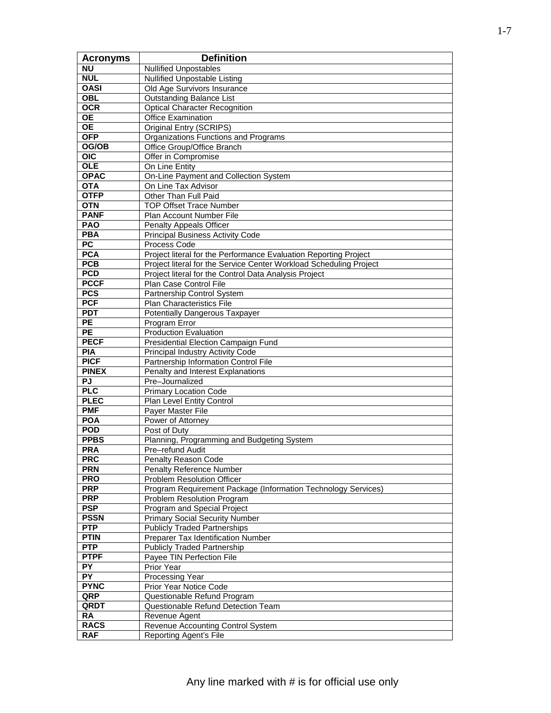| <b>Acronyms</b>           | <b>Definition</b>                                                         |
|---------------------------|---------------------------------------------------------------------------|
| <b>NU</b>                 | <b>Nullified Unpostables</b>                                              |
| <b>NUL</b>                | <b>Nullified Unpostable Listing</b>                                       |
| <b>OASI</b>               | Old Age Survivors Insurance                                               |
| OBL                       | <b>Outstanding Balance List</b>                                           |
| <b>OCR</b>                | <b>Optical Character Recognition</b>                                      |
| $\overline{OE}$           | Office Examination                                                        |
| <b>OE</b>                 | Original Entry (SCRIPS)                                                   |
| <b>OFP</b>                | Organizations Functions and Programs                                      |
| OG/OB                     | Office Group/Office Branch                                                |
| $\overline{OC}$           | Offer in Compromise                                                       |
| <b>OLE</b>                | On Line Entity                                                            |
| <b>OPAC</b>               | On-Line Payment and Collection System                                     |
| <b>OTA</b>                | On Line Tax Advisor                                                       |
| <b>OTFP</b>               | Other Than Full Paid                                                      |
| <b>OTN</b>                | <b>TOP Offset Trace Number</b>                                            |
| <b>PANF</b>               | Plan Account Number File                                                  |
| <b>PAO</b>                | <b>Penalty Appeals Officer</b>                                            |
| <b>PBA</b>                | <b>Principal Business Activity Code</b>                                   |
| $\overline{PC}$           | Process Code                                                              |
| <b>PCA</b>                | Project literal for the Performance Evaluation Reporting Project          |
| <b>PCB</b>                | Project literal for the Service Center Workload Scheduling Project        |
| <b>PCD</b>                | Project literal for the Control Data Analysis Project                     |
| <b>PCCF</b>               | Plan Case Control File                                                    |
| <b>PCS</b>                | Partnership Control System                                                |
| <b>PCF</b>                | Plan Characteristics File                                                 |
| <b>PDT</b>                | Potentially Dangerous Taxpayer                                            |
| <b>PE</b>                 | Program Error                                                             |
| $\overline{PE}$           | <b>Production Evaluation</b>                                              |
| <b>PECF</b><br><b>PIA</b> | Presidential Election Campaign Fund                                       |
| <b>PICF</b>               | Principal Industry Activity Code                                          |
| <b>PINEX</b>              | Partnership Information Control File<br>Penalty and Interest Explanations |
| PJ                        | Pre-Journalized                                                           |
| PLC                       | <b>Primary Location Code</b>                                              |
| <b>PLEC</b>               | Plan Level Entity Control                                                 |
| <b>PMF</b>                | Payer Master File                                                         |
| <b>POA</b>                | Power of Attorney                                                         |
| <b>POD</b>                | Post of Duty                                                              |
| <b>PPBS</b>               | Planning, Programming and Budgeting System                                |
| <b>PRA</b>                | Pre-refund Audit                                                          |
| <b>PRC</b>                | Penalty Reason Code                                                       |
| <b>PRN</b>                | <b>Penalty Reference Number</b>                                           |
| <b>PRO</b>                | Problem Resolution Officer                                                |
| <b>PRP</b>                | Program Requirement Package (Information Technology Services)             |
| <b>PRP</b>                | Problem Resolution Program                                                |
| <b>PSP</b>                | Program and Special Project                                               |
| <b>PSSN</b>               | <b>Primary Social Security Number</b>                                     |
| <b>PTP</b>                | <b>Publicly Traded Partnerships</b>                                       |
| <b>PTIN</b>               | Preparer Tax Identification Number                                        |
| <b>PTP</b>                | <b>Publicly Traded Partnership</b>                                        |
| <b>PTPF</b>               | Payee TIN Perfection File                                                 |
| $\overline{PY}$           | Prior Year                                                                |
| PY                        | Processing Year                                                           |
| <b>PYNC</b>               | Prior Year Notice Code                                                    |
| QRP                       | Questionable Refund Program                                               |
| QRDT                      | Questionable Refund Detection Team                                        |
| <b>RA</b>                 | Revenue Agent                                                             |
| <b>RACS</b>               | Revenue Accounting Control System                                         |
| <b>RAF</b>                | Reporting Agent's File                                                    |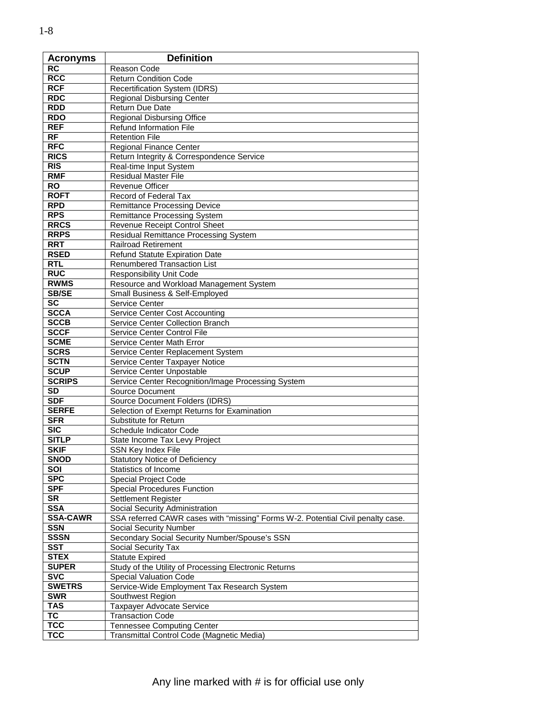| <b>Acronyms</b> | <b>Definition</b>                                                               |
|-----------------|---------------------------------------------------------------------------------|
| <b>RC</b>       | Reason Code                                                                     |
| <b>RCC</b>      | <b>Return Condition Code</b>                                                    |
| <b>RCF</b>      | Recertification System (IDRS)                                                   |
| <b>RDC</b>      | <b>Regional Disbursing Center</b>                                               |
| <b>RDD</b>      | Return Due Date                                                                 |
| <b>RDO</b>      | <b>Regional Disbursing Office</b>                                               |
| <b>REF</b>      | <b>Refund Information File</b>                                                  |
| $\overline{RF}$ | <b>Retention File</b>                                                           |
| <b>RFC</b>      | <b>Regional Finance Center</b>                                                  |
| <b>RICS</b>     | Return Integrity & Correspondence Service                                       |
| RIS             | Real-time Input System                                                          |
| <b>RMF</b>      | <b>Residual Master File</b>                                                     |
| <b>RO</b>       | <b>Revenue Officer</b>                                                          |
| <b>ROFT</b>     | Record of Federal Tax                                                           |
| <b>RPD</b>      | <b>Remittance Processing Device</b>                                             |
| <b>RPS</b>      | Remittance Processing System                                                    |
| <b>RRCS</b>     | Revenue Receipt Control Sheet                                                   |
| <b>RRPS</b>     | Residual Remittance Processing System                                           |
| <b>RRT</b>      | <b>Railroad Retirement</b>                                                      |
| <b>RSED</b>     | <b>Refund Statute Expiration Date</b>                                           |
| <b>RTL</b>      | <b>Renumbered Transaction List</b>                                              |
| <b>RUC</b>      | <b>Responsibility Unit Code</b>                                                 |
| <b>RWMS</b>     | Resource and Workload Management System                                         |
| <b>SB/SE</b>    | Small Business & Self-Employed                                                  |
| <b>SC</b>       | Service Center                                                                  |
| <b>SCCA</b>     | <b>Service Center Cost Accounting</b>                                           |
| <b>SCCB</b>     | Service Center Collection Branch                                                |
| <b>SCCF</b>     | Service Center Control File                                                     |
| <b>SCME</b>     | Service Center Math Error                                                       |
| <b>SCRS</b>     | Service Center Replacement System                                               |
| <b>SCTN</b>     | Service Center Taxpayer Notice                                                  |
| <b>SCUP</b>     | Service Center Unpostable                                                       |
| <b>SCRIPS</b>   | Service Center Recognition/Image Processing System                              |
| SD              | Source Document                                                                 |
| <b>SDF</b>      | <b>Source Document Folders (IDRS)</b>                                           |
| <b>SERFE</b>    | Selection of Exempt Returns for Examination                                     |
| <b>SFR</b>      | Substitute for Return                                                           |
| <b>SIC</b>      | Schedule Indicator Code                                                         |
| <b>SITLP</b>    | State Income Tax Levy Project                                                   |
| <b>SKIF</b>     | SSN Key Index File                                                              |
| <b>SNOD</b>     | <b>Statutory Notice of Deficiency</b>                                           |
| SOI             | Statistics of Income                                                            |
| <b>SPC</b>      | Special Project Code                                                            |
| <b>SPF</b>      | <b>Special Procedures Function</b>                                              |
| <b>SR</b>       | Settlement Register                                                             |
| <b>SSA</b>      | Social Security Administration                                                  |
| <b>SSA-CAWR</b> | SSA referred CAWR cases with "missing" Forms W-2. Potential Civil penalty case. |
| <b>SSN</b>      | <b>Social Security Number</b>                                                   |
| <b>SSSN</b>     | Secondary Social Security Number/Spouse's SSN                                   |
| <b>SST</b>      | <b>Social Security Tax</b>                                                      |
| <b>STEX</b>     | <b>Statute Expired</b>                                                          |
| <b>SUPER</b>    | Study of the Utility of Processing Electronic Returns                           |
| <b>SVC</b>      | <b>Special Valuation Code</b>                                                   |
| <b>SWETRS</b>   | Service-Wide Employment Tax Research System                                     |
| <b>SWR</b>      | Southwest Region                                                                |
| <b>TAS</b>      | <b>Taxpayer Advocate Service</b>                                                |
| <b>TC</b>       | <b>Transaction Code</b>                                                         |
| <b>TCC</b>      | <b>Tennessee Computing Center</b>                                               |
| <b>TCC</b>      | Transmittal Control Code (Magnetic Media)                                       |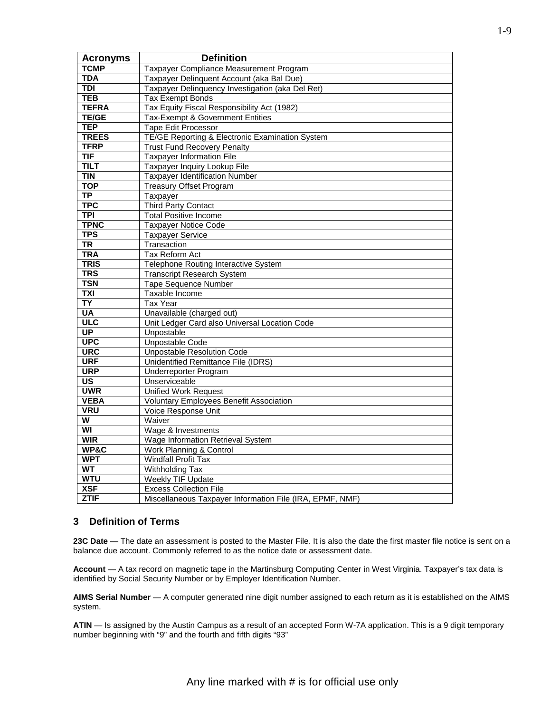| <b>Acronyms</b>          | <b>Definition</b>                                        |
|--------------------------|----------------------------------------------------------|
| <b>TCMP</b>              | Taxpayer Compliance Measurement Program                  |
| <b>TDA</b>               | Taxpayer Delinquent Account (aka Bal Due)                |
| <b>TDI</b>               | Taxpayer Delinquency Investigation (aka Del Ret)         |
| <b>TEB</b>               | <b>Tax Exempt Bonds</b>                                  |
| <b>TEFRA</b>             | Tax Equity Fiscal Responsibility Act (1982)              |
| <b>TE/GE</b>             | Tax-Exempt & Government Entities                         |
| <b>TEP</b>               | <b>Tape Edit Processor</b>                               |
| <b>TREES</b>             | TE/GE Reporting & Electronic Examination System          |
| <b>TFRP</b>              | <b>Trust Fund Recovery Penalty</b>                       |
| TIF                      | <b>Taxpayer Information File</b>                         |
| <b>TILT</b>              | Taxpayer Inquiry Lookup File                             |
| <b>TIN</b>               | <b>Taxpayer Identification Number</b>                    |
| <b>TOP</b>               | Treasury Offset Program                                  |
| $\overline{TP}$          | Taxpayer                                                 |
| <b>TPC</b>               | Third Party Contact                                      |
| <b>TPI</b>               | <b>Total Positive Income</b>                             |
| <b>TPNC</b>              | <b>Taxpayer Notice Code</b>                              |
| <b>TPS</b>               | <b>Taxpayer Service</b>                                  |
| $\overline{\text{TR}}$   | Transaction                                              |
| <b>TRA</b>               | <b>Tax Reform Act</b>                                    |
| <b>TRIS</b>              | Telephone Routing Interactive System                     |
| <b>TRS</b>               | <b>Transcript Research System</b>                        |
| <b>TSN</b>               | <b>Tape Sequence Number</b>                              |
| <b>TXI</b>               | Taxable Income                                           |
| ΤY                       | <b>Tax Year</b>                                          |
| <b>UA</b>                | Unavailable (charged out)                                |
| <b>ULC</b>               | Unit Ledger Card also Universal Location Code            |
| $\overline{\mathsf{UP}}$ | Unpostable                                               |
| <b>UPC</b>               | Unpostable Code                                          |
| <b>URC</b>               | <b>Unpostable Resolution Code</b>                        |
| <b>URF</b>               | Unidentified Remittance File (IDRS)                      |
| <b>URP</b>               | <b>Underreporter Program</b>                             |
| <b>US</b>                | Unserviceable                                            |
| <b>UWR</b>               | <b>Unified Work Request</b>                              |
| <b>VEBA</b>              | <b>Voluntary Employees Benefit Association</b>           |
| <b>VRU</b>               | Voice Response Unit                                      |
| $\overline{\mathsf{w}}$  | Waiver                                                   |
| $\overline{\mathsf{w}}$  | Wage & Investments                                       |
| <b>WIR</b>               | Wage Information Retrieval System                        |
| <b>WP&amp;C</b>          | Work Planning & Control                                  |
| <b>WPT</b>               | <b>Windfall Profit Tax</b>                               |
| <b>WT</b>                | Withholding Tax                                          |
| <b>WTU</b>               | Weekly TIF Update                                        |
| <b>XSF</b>               | <b>Excess Collection File</b>                            |
| <b>ZTIF</b>              | Miscellaneous Taxpayer Information File (IRA, EPMF, NMF) |

#### **3 Definition of Terms**

 **23C Date** — The date an assessment is posted to the Master File. It is also the date the first master file notice is sent on a balance due account. Commonly referred to as the notice date or assessment date.

**Account** — A tax record on magnetic tape in the Martinsburg Computing Center in West Virginia. Taxpayer's tax data is identified by Social Security Number or by Employer Identification Number.

**AIMS Serial Number** — A computer generated nine digit number assigned to each return as it is established on the AIMS system.

 **ATIN** — Is assigned by the Austin Campus as a result of an accepted Form W-7A application. This is a 9 digit temporary number beginning with "9" and the fourth and fifth digits "93"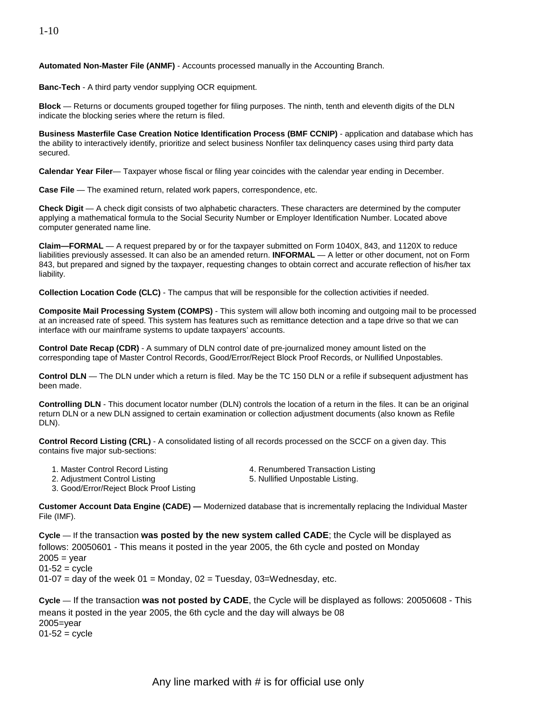**Automated Non-Master File (ANMF)** - Accounts processed manually in the Accounting Branch.

**Banc-Tech** - A third party vendor supplying OCR equipment.

**Block** — Returns or documents grouped together for filing purposes. The ninth, tenth and eleventh digits of the DLN indicate the blocking series where the return is filed.

**Business Masterfile Case Creation Notice Identification Process (BMF CCNIP)** - application and database which has the ability to interactively identify, prioritize and select business Nonfiler tax delinquency cases using third party data secured.

**Calendar Year Filer**— Taxpayer whose fiscal or filing year coincides with the calendar year ending in December.

**Case File** — The examined return, related work papers, correspondence, etc.

**Check Digit** — A check digit consists of two alphabetic characters. These characters are determined by the computer applying a mathematical formula to the Social Security Number or Employer Identification Number. Located above computer generated name line.

 **Claim—FORMAL** — A request prepared by or for the taxpayer submitted on Form 1040X, 843, and 1120X to reduce liabilities previously assessed. It can also be an amended return. **INFORMAL** — A letter or other document, not on Form 843, but prepared and signed by the taxpayer, requesting changes to obtain correct and accurate reflection of his/her tax liability.

**Collection Location Code (CLC)** - The campus that will be responsible for the collection activities if needed.

**Composite Mail Processing System (COMPS)** - This system will allow both incoming and outgoing mail to be processed at an increased rate of speed. This system has features such as remittance detection and a tape drive so that we can interface with our mainframe systems to update taxpayers' accounts.

**Control Date Recap (CDR)** - A summary of DLN control date of pre-journalized money amount listed on the corresponding tape of Master Control Records, Good/Error/Reject Block Proof Records, or Nullified Unpostables.

**Control DLN** — The DLN under which a return is filed. May be the TC 150 DLN or a refile if subsequent adjustment has been made.

**Controlling DLN** - This document locator number (DLN) controls the location of a return in the files. It can be an original return DLN or a new DLN assigned to certain examination or collection adjustment documents (also known as Refile DLN).

**Control Record Listing (CRL)** - A consolidated listing of all records processed on the SCCF on a given day. This contains five major sub-sections:

- 
- 
- 1. Master Control Record Listing The Mass A. Renumbered Transaction Listing
- 2. Adjustment Control Listing The State of the State of State Unpostable Listing. 3. Good/Error/Reject Block Proof Listing
	-

**Customer Account Data Engine (CADE) —** Modernized database that is incrementally replacing the Individual Master File (IMF).

 01-07 = day of the week 01 = Monday, 02 = Tuesday, 03=Wednesday, etc. **Cycle** — If the transaction **was posted by the new system called CADE**; the Cycle will be displayed as follows: 20050601 - This means it posted in the year 2005, the 6th cycle and posted on Monday  $2005 =$  year  $01 - 52 = c$ 

means it posted in the year 2005, the 6th cycle and the day will always be 08<br>2005=year **Cycle** — If the transaction **was not posted by CADE**, the Cycle will be displayed as follows: 20050608 - This  $01 - 52 =$  cycle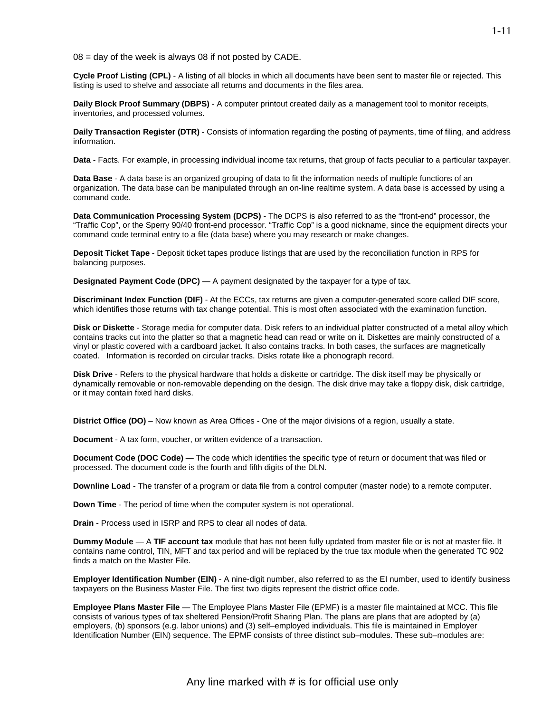$08 = day$  of the week is always 08 if not posted by CADE.

**Cycle Proof Listing (CPL)** - A listing of all blocks in which all documents have been sent to master file or rejected. This listing is used to shelve and associate all returns and documents in the files area.

 **Daily Block Proof Summary (DBPS)** - A computer printout created daily as a management tool to monitor receipts, inventories, and processed volumes.

**Daily Transaction Register (DTR)** - Consists of information regarding the posting of payments, time of filing, and address information.

**Data** - Facts. For example, in processing individual income tax returns, that group of facts peculiar to a particular taxpayer.

 **Data Base** - A data base is an organized grouping of data to fit the information needs of multiple functions of an organization. The data base can be manipulated through an on-line realtime system. A data base is accessed by using a command code.

 "Traffic Cop", or the Sperry 90/40 front-end processor. "Traffic Cop" is a good nickname, since the equipment directs your **Data Communication Processing System (DCPS)** - The DCPS is also referred to as the "front-end" processor, the command code terminal entry to a file (data base) where you may research or make changes.

**Deposit Ticket Tape** - Deposit ticket tapes produce listings that are used by the reconciliation function in RPS for balancing purposes.

**Designated Payment Code (DPC)** — A payment designated by the taxpayer for a type of tax.

 **Discriminant Index Function (DIF)** - At the ECCs, tax returns are given a computer-generated score called DIF score, which identifies those returns with tax change potential. This is most often associated with the examination function.

 coated. Information is recorded on circular tracks. Disks rotate like a phonograph record. **Disk or Diskette** - Storage media for computer data. Disk refers to an individual platter constructed of a metal alloy which contains tracks cut into the platter so that a magnetic head can read or write on it. Diskettes are mainly constructed of a vinyl or plastic covered with a cardboard jacket. It also contains tracks. In both cases, the surfaces are magnetically

**Disk Drive** - Refers to the physical hardware that holds a diskette or cartridge. The disk itself may be physically or dynamically removable or non-removable depending on the design. The disk drive may take a floppy disk, disk cartridge, or it may contain fixed hard disks.

**District Office (DO)** – Now known as Area Offices - One of the major divisions of a region, usually a state.

**Document** - A tax form, voucher, or written evidence of a transaction.

**Document Code (DOC Code)** — The code which identifies the specific type of return or document that was filed or processed. The document code is the fourth and fifth digits of the DLN.

**Downline Load** - The transfer of a program or data file from a control computer (master node) to a remote computer.

**Down Time** - The period of time when the computer system is not operational.

**Drain** - Process used in ISRP and RPS to clear all nodes of data.

**Dummy Module** — A **TIF account tax** module that has not been fully updated from master file or is not at master file. It contains name control, TIN, MFT and tax period and will be replaced by the true tax module when the generated TC 902 finds a match on the Master File.

**Employer Identification Number (EIN)** - A nine-digit number, also referred to as the EI number, used to identify business taxpayers on the Business Master File. The first two digits represent the district office code.

**Employee Plans Master File** — The Employee Plans Master File (EPMF) is a master file maintained at MCC. This file consists of various types of tax sheltered Pension/Profit Sharing Plan. The plans are plans that are adopted by (a) employers, (b) sponsors (e.g. labor unions) and (3) self–employed individuals. This file is maintained in Employer Identification Number (EIN) sequence. The EPMF consists of three distinct sub–modules. These sub–modules are: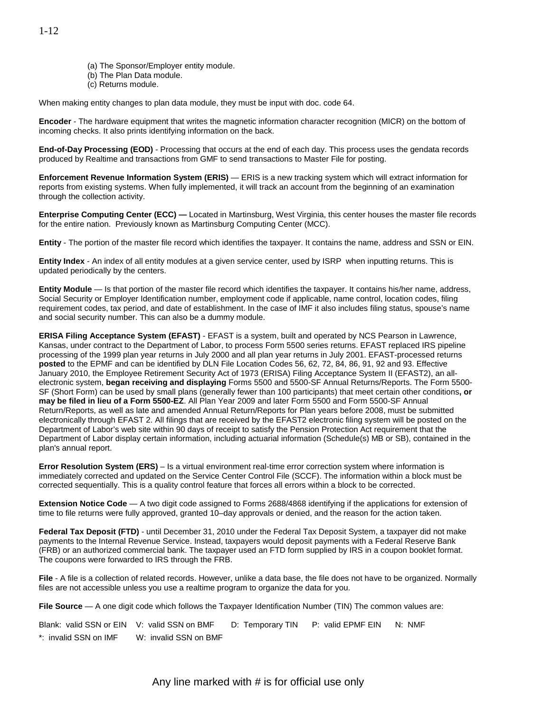- (a) The Sponsor/Employer entity module.
- (b) The Plan Data module.
- (c) Returns module.

When making entity changes to plan data module, they must be input with doc. code 64.

 incoming checks. It also prints identifying information on the back. **Encoder** - The hardware equipment that writes the magnetic information character recognition (MICR) on the bottom of

 **End-of-Day Processing (EOD)** - Processing that occurs at the end of each day. This process uses the gendata records produced by Realtime and transactions from GMF to send transactions to Master File for posting.

**Enforcement Revenue Information System (ERIS)** — ERIS is a new tracking system which will extract information for reports from existing systems. When fully implemented, it will track an account from the beginning of an examination through the collection activity.

**Enterprise Computing Center (ECC) —** Located in Martinsburg, West Virginia, this center houses the master file records for the entire nation. Previously known as Martinsburg Computing Center (MCC).

**Entity** - The portion of the master file record which identifies the taxpayer. It contains the name, address and SSN or EIN.

 **Entity Index** - An index of all entity modules at a given service center, used by ISRP when inputting returns. This is updated periodically by the centers.

 **Entity Module** — Is that portion of the master file record which identifies the taxpayer. It contains his/her name, address, Social Security or Employer Identification number, employment code if applicable, name control, location codes, filing requirement codes, tax period, and date of establishment. In the case of IMF it also includes filing status, spouse's name and social security number. This can also be a dummy module.

 Kansas, under contract to the Department of Labor, to process Form 5500 series returns. EFAST replaced IRS pipeline **posted** to the EPMF and can be identified by DLN File Location Codes 56, 62, 72, 84, 86, 91, 92 and 93. Effective **ERISA Filing Acceptance System (EFAST)** - EFAST is a system, built and operated by NCS Pearson in Lawrence, processing of the 1999 plan year returns in July 2000 and all plan year returns in July 2001. EFAST-processed returns January 2010, the Employee Retirement Security Act of 1973 (ERISA) Filing Acceptance System II (EFAST2), an allelectronic system, **began receiving and displaying** Forms 5500 and 5500-SF Annual Returns/Reports. The Form 5500 SF (Short Form) can be used by small plans (generally fewer than 100 participants) that meet certain other conditions**, or may be filed in lieu of a Form 5500-EZ**. All Plan Year 2009 and later Form 5500 and Form 5500-SF Annual Return/Reports, as well as late and amended Annual Return/Reports for Plan years before 2008, must be submitted electronically through EFAST 2. All filings that are received by the EFAST2 electronic filing system will be posted on the Department of Labor's web site within 90 days of receipt to satisfy the Pension Protection Act requirement that the Department of Labor display certain information, including actuarial information (Schedule(s) MB or SB), contained in the plan's annual report.

 **Error Resolution System (ERS)** – Is a virtual environment real-time error correction system where information is immediately corrected and updated on the Service Center Control File (SCCF). The information within a block must be corrected sequentially. This is a quality control feature that forces all errors within a block to be corrected.

**Extension Notice Code** — A two digit code assigned to Forms 2688/4868 identifying if the applications for extension of time to file returns were fully approved, granted 10–day approvals or denied, and the reason for the action taken.

**Federal Tax Deposit (FTD)** - until December 31, 2010 under the Federal Tax Deposit System, a taxpayer did not make payments to the Internal Revenue Service. Instead, taxpayers would deposit payments with a Federal Reserve Bank (FRB) or an authorized commercial bank. The taxpayer used an FTD form supplied by IRS in a coupon booklet format. The coupons were forwarded to IRS through the FRB.

 files are not accessible unless you use a realtime program to organize the data for you. **File** - A file is a collection of related records. However, unlike a data base, the file does not have to be organized. Normally

**File Source** — A one digit code which follows the Taxpayer Identification Number (TIN) The common values are:

Blank: valid SSN or EIN V: valid SSN on BMF D: Temporary TIN P: valid EPMF EIN N: NMF \*: invalid SSN on IMF W: invalid SSN on BMF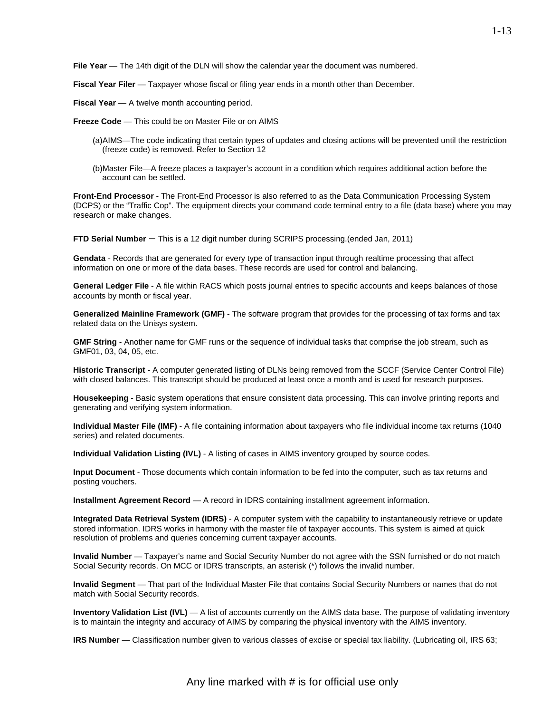**File Year** — The 14th digit of the DLN will show the calendar year the document was numbered.

**Fiscal Year Filer** — Taxpayer whose fiscal or filing year ends in a month other than December.

**Fiscal Year** — A twelve month accounting period.

**Freeze Code** — This could be on Master File or on AIMS

- (a)AIMS—The code indicating that certain types of updates and closing actions will be prevented until the restriction (freeze code) is removed. Refer to Section 12
- (b)Master File—A freeze places a taxpayer's account in a condition which requires additional action before the account can be settled.

**Front-End Processor** - The Front-End Processor is also referred to as the Data Communication Processing System (DCPS) or the "Traffic Cop". The equipment directs your command code terminal entry to a file (data base) where you may research or make changes.

**FTD Serial Number** – This is a 12 digit number during SCRIPS processing.(ended Jan, 2011)

 **Gendata** - Records that are generated for every type of transaction input through realtime processing that affect information on one or more of the data bases. These records are used for control and balancing.

**General Ledger File** - A file within RACS which posts journal entries to specific accounts and keeps balances of those accounts by month or fiscal year.

 **Generalized Mainline Framework (GMF)** - The software program that provides for the processing of tax forms and tax related data on the Unisys system.

**GMF String** - Another name for GMF runs or the sequence of individual tasks that comprise the job stream, such as GMF01, 03, 04, 05, etc.

**Historic Transcript** - A computer generated listing of DLNs being removed from the SCCF (Service Center Control File) with closed balances. This transcript should be produced at least once a month and is used for research purposes.

**Housekeeping** - Basic system operations that ensure consistent data processing. This can involve printing reports and generating and verifying system information.

 **Individual Master File (IMF)** - A file containing information about taxpayers who file individual income tax returns (1040 series) and related documents.

**Individual Validation Listing (IVL)** - A listing of cases in AIMS inventory grouped by source codes.

**Input Document** - Those documents which contain information to be fed into the computer, such as tax returns and posting vouchers.

**Installment Agreement Record** — A record in IDRS containing installment agreement information.

**Integrated Data Retrieval System (IDRS)** - A computer system with the capability to instantaneously retrieve or update stored information. IDRS works in harmony with the master file of taxpayer accounts. This system is aimed at quick resolution of problems and queries concerning current taxpayer accounts.

 **Invalid Number** — Taxpayer's name and Social Security Number do not agree with the SSN furnished or do not match Social Security records. On MCC or IDRS transcripts, an asterisk (\*) follows the invalid number.

**Invalid Segment** — That part of the Individual Master File that contains Social Security Numbers or names that do not match with Social Security records.

**Inventory Validation List (IVL)** — A list of accounts currently on the AIMS data base. The purpose of validating inventory is to maintain the integrity and accuracy of AIMS by comparing the physical inventory with the AIMS inventory.

**IRS Number** — Classification number given to various classes of excise or special tax liability. (Lubricating oil, IRS 63;

Any line marked with # is for official use only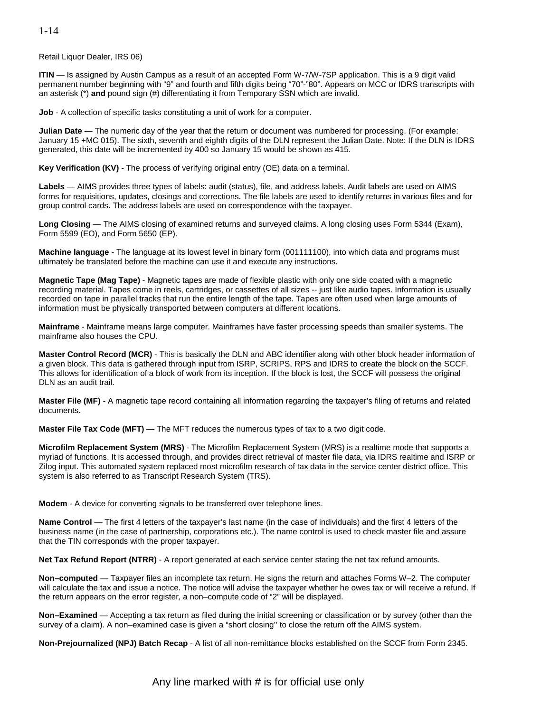1-14

Retail Liquor Dealer, IRS 06)

**ITIN** — Is assigned by Austin Campus as a result of an accepted Form W-7/W-7SP application. This is a 9 digit valid permanent number beginning with "9" and fourth and fifth digits being "70"-"80". Appears on MCC or IDRS transcripts with an asterisk (\*) **and** pound sign (#) differentiating it from Temporary SSN which are invalid.

**Job** - A collection of specific tasks constituting a unit of work for a computer.

 **Julian Date** — The numeric day of the year that the return or document was numbered for processing. (For example: January 15 +MC 015). The sixth, seventh and eighth digits of the DLN represent the Julian Date. Note: If the DLN is IDRS generated, this date will be incremented by 400 so January 15 would be shown as 415.

**Key Verification (KV)** - The process of verifying original entry (OE) data on a terminal.

 **Labels** — AIMS provides three types of labels: audit (status), file, and address labels. Audit labels are used on AIMS forms for requisitions, updates, closings and corrections. The file labels are used to identify returns in various files and for group control cards. The address labels are used on correspondence with the taxpayer.

**Long Closing** — The AIMS closing of examined returns and surveyed claims. A long closing uses Form 5344 (Exam), Form 5599 (EO), and Form 5650 (EP).

 **Machine language** - The language at its lowest level in binary form (001111100), into which data and programs must ultimately be translated before the machine can use it and execute any instructions.

**Magnetic Tape (Mag Tape)** - Magnetic tapes are made of flexible plastic with only one side coated with a magnetic recording material. Tapes come in reels, cartridges, or cassettes of all sizes -- just like audio tapes. Information is usually recorded on tape in parallel tracks that run the entire length of the tape. Tapes are often used when large amounts of information must be physically transported between computers at different locations.

**Mainframe** - Mainframe means large computer. Mainframes have faster processing speeds than smaller systems. The mainframe also houses the CPU.

 This allows for identification of a block of work from its inception. If the block is lost, the SCCF will possess the original **Master Control Record (MCR)** - This is basically the DLN and ABC identifier along with other block header information of a given block. This data is gathered through input from ISRP, SCRIPS, RPS and IDRS to create the block on the SCCF. DLN as an audit trail.

**Master File (MF)** - A magnetic tape record containing all information regarding the taxpayer's filing of returns and related documents.

**Master File Tax Code (MFT)** — The MFT reduces the numerous types of tax to a two digit code.

**Microfilm Replacement System (MRS)** - The Microfilm Replacement System (MRS) is a realtime mode that supports a myriad of functions. It is accessed through, and provides direct retrieval of master file data, via IDRS realtime and ISRP or Zilog input. This automated system replaced most microfilm research of tax data in the service center district office. This system is also referred to as Transcript Research System (TRS).

**Modem** - A device for converting signals to be transferred over telephone lines.

 **Name Control** — The first 4 letters of the taxpayer's last name (in the case of individuals) and the first 4 letters of the business name (in the case of partnership, corporations etc.). The name control is used to check master file and assure that the TIN corresponds with the proper taxpayer.

**Net Tax Refund Report (NTRR)** - A report generated at each service center stating the net tax refund amounts.

 **Non–computed** — Taxpayer files an incomplete tax return. He signs the return and attaches Forms W–2. The computer will calculate the tax and issue a notice. The notice will advise the taxpayer whether he owes tax or will receive a refund. If the return appears on the error register, a non–compute code of "2" will be displayed.

**Non–Examined** — Accepting a tax return as filed during the initial screening or classification or by survey (other than the survey of a claim). A non–examined case is given a "short closing'' to close the return off the AIMS system.

**Non-Prejournalized (NPJ) Batch Recap** - A list of all non-remittance blocks established on the SCCF from Form 2345.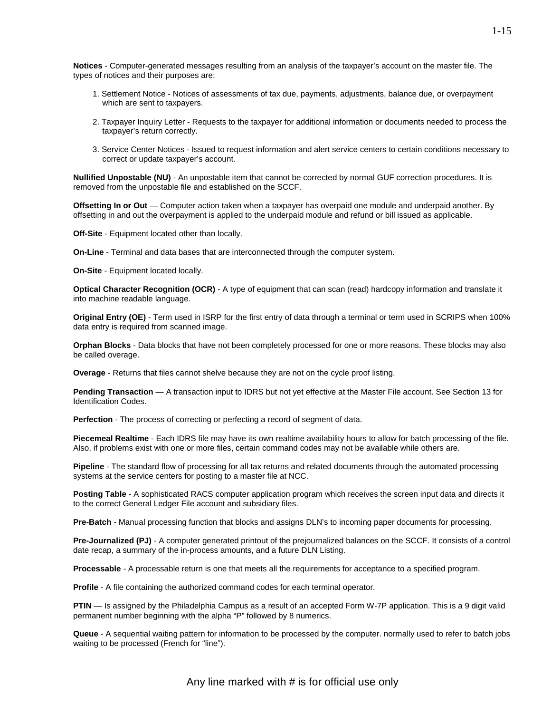**Notices** - Computer-generated messages resulting from an analysis of the taxpayer's account on the master file. The types of notices and their purposes are:

- 1. Settlement Notice Notices of assessments of tax due, payments, adjustments, balance due, or overpayment which are sent to taxpayers.
- 2. Taxpayer Inquiry Letter Requests to the taxpayer for additional information or documents needed to process the taxpayer's return correctly.
- 3. Service Center Notices Issued to request information and alert service centers to certain conditions necessary to correct or update taxpayer's account.

 **Nullified Unpostable (NU)** - An unpostable item that cannot be corrected by normal GUF correction procedures. It is removed from the unpostable file and established on the SCCF.

 offsetting in and out the overpayment is applied to the underpaid module and refund or bill issued as applicable. **Offsetting In or Out** — Computer action taken when a taxpayer has overpaid one module and underpaid another. By

**Off-Site** - Equipment located other than locally.

**On-Line** - Terminal and data bases that are interconnected through the computer system.

**On-Site** - Equipment located locally.

**Optical Character Recognition (OCR)** - A type of equipment that can scan (read) hardcopy information and translate it into machine readable language.

**Original Entry (OE)** - Term used in ISRP for the first entry of data through a terminal or term used in SCRIPS when 100% data entry is required from scanned image.

**Orphan Blocks** - Data blocks that have not been completely processed for one or more reasons. These blocks may also be called overage.

**Overage** - Returns that files cannot shelve because they are not on the cycle proof listing.

**Pending Transaction** — A transaction input to IDRS but not yet effective at the Master File account. See Section 13 for Identification Codes.

**Perfection** - The process of correcting or perfecting a record of segment of data.

**Piecemeal Realtime** - Each IDRS file may have its own realtime availability hours to allow for batch processing of the file. Also, if problems exist with one or more files, certain command codes may not be available while others are.

**Pipeline** - The standard flow of processing for all tax returns and related documents through the automated processing systems at the service centers for posting to a master file at NCC.

**Posting Table** - A sophisticated RACS computer application program which receives the screen input data and directs it to the correct General Ledger File account and subsidiary files.

**Pre-Batch** - Manual processing function that blocks and assigns DLN's to incoming paper documents for processing.

**Pre-Journalized (PJ)** - A computer generated printout of the prejournalized balances on the SCCF. It consists of a control date recap, a summary of the in-process amounts, and a future DLN Listing.

**Processable** - A processable return is one that meets all the requirements for acceptance to a specified program.

**Profile** - A file containing the authorized command codes for each terminal operator.

**PTIN** — Is assigned by the Philadelphia Campus as a result of an accepted Form W-7P application. This is a 9 digit valid permanent number beginning with the alpha "P" followed by 8 numerics.

**Queue** - A sequential waiting pattern for information to be processed by the computer. normally used to refer to batch jobs waiting to be processed (French for "line").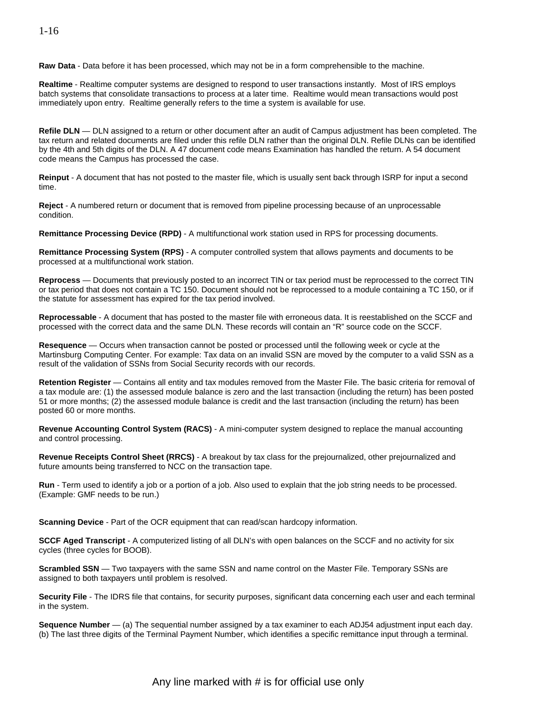**Raw Data** - Data before it has been processed, which may not be in a form comprehensible to the machine.

**Realtime** - Realtime computer systems are designed to respond to user transactions instantly. Most of IRS employs batch systems that consolidate transactions to process at a later time. Realtime would mean transactions would post immediately upon entry. Realtime generally refers to the time a system is available for use.

 code means the Campus has processed the case. **Refile DLN** — DLN assigned to a return or other document after an audit of Campus adjustment has been completed. The tax return and related documents are filed under this refile DLN rather than the original DLN. Refile DLNs can be identified by the 4th and 5th digits of the DLN. A 47 document code means Examination has handled the return. A 54 document

**Reinput** - A document that has not posted to the master file, which is usually sent back through ISRP for input a second time.

**Reject** - A numbered return or document that is removed from pipeline processing because of an unprocessable condition.

**Remittance Processing Device (RPD)** - A multifunctional work station used in RPS for processing documents.

 **Remittance Processing System (RPS)** - A computer controlled system that allows payments and documents to be processed at a multifunctional work station.

 or tax period that does not contain a TC 150. Document should not be reprocessed to a module containing a TC 150, or if **Reprocess** — Documents that previously posted to an incorrect TIN or tax period must be reprocessed to the correct TIN the statute for assessment has expired for the tax period involved.

 **Reprocessable** - A document that has posted to the master file with erroneous data. It is reestablished on the SCCF and processed with the correct data and the same DLN. These records will contain an "R" source code on the SCCF.

**Resequence** — Occurs when transaction cannot be posted or processed until the following week or cycle at the Martinsburg Computing Center. For example: Tax data on an invalid SSN are moved by the computer to a valid SSN as a result of the validation of SSNs from Social Security records with our records.

 **Retention Register** — Contains all entity and tax modules removed from the Master File. The basic criteria for removal of a tax module are: (1) the assessed module balance is zero and the last transaction (including the return) has been posted 51 or more months; (2) the assessed module balance is credit and the last transaction (including the return) has been posted 60 or more months.

**Revenue Accounting Control System (RACS)** - A mini-computer system designed to replace the manual accounting and control processing.

**Revenue Receipts Control Sheet (RRCS)** - A breakout by tax class for the prejournalized, other prejournalized and future amounts being transferred to NCC on the transaction tape.

**Run** - Term used to identify a job or a portion of a job. Also used to explain that the job string needs to be processed. (Example: GMF needs to be run.)

**Scanning Device** - Part of the OCR equipment that can read/scan hardcopy information.

 **SCCF Aged Transcript** - A computerized listing of all DLN's with open balances on the SCCF and no activity for six cycles (three cycles for BOOB).

**Scrambled SSN** — Two taxpayers with the same SSN and name control on the Master File. Temporary SSNs are assigned to both taxpayers until problem is resolved.

**Security File** - The IDRS file that contains, for security purposes, significant data concerning each user and each terminal in the system.

**Sequence Number** — (a) The sequential number assigned by a tax examiner to each ADJ54 adjustment input each day. (b) The last three digits of the Terminal Payment Number, which identifies a specific remittance input through a terminal.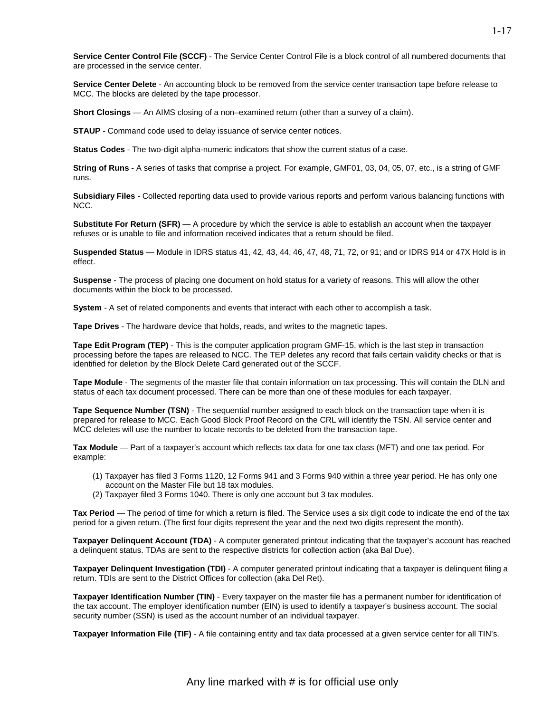**Service Center Control File (SCCF)** - The Service Center Control File is a block control of all numbered documents that are processed in the service center.

**Service Center Delete** - An accounting block to be removed from the service center transaction tape before release to MCC. The blocks are deleted by the tape processor.

**Short Closings** — An AIMS closing of a non–examined return (other than a survey of a claim).

**STAUP** - Command code used to delay issuance of service center notices.

**Status Codes** - The two-digit alpha-numeric indicators that show the current status of a case.

**String of Runs** - A series of tasks that comprise a project. For example, GMF01, 03, 04, 05, 07, etc., is a string of GMF runs.

**Subsidiary Files** - Collected reporting data used to provide various reports and perform various balancing functions with NCC.

**Substitute For Return (SFR)** — A procedure by which the service is able to establish an account when the taxpayer refuses or is unable to file and information received indicates that a return should be filed.

**Suspended Status** — Module in IDRS status 41, 42, 43, 44, 46, 47, 48, 71, 72, or 91; and or IDRS 914 or 47X Hold is in effect.

**Suspense** - The process of placing one document on hold status for a variety of reasons. This will allow the other documents within the block to be processed.

**System** - A set of related components and events that interact with each other to accomplish a task.

**Tape Drives** - The hardware device that holds, reads, and writes to the magnetic tapes.

**Tape Edit Program (TEP)** - This is the computer application program GMF-15, which is the last step in transaction processing before the tapes are released to NCC. The TEP deletes any record that fails certain validity checks or that is identified for deletion by the Block Delete Card generated out of the SCCF.

**Tape Module** - The segments of the master file that contain information on tax processing. This will contain the DLN and status of each tax document processed. There can be more than one of these modules for each taxpayer.

 **Tape Sequence Number (TSN)** - The sequential number assigned to each block on the transaction tape when it is prepared for release to MCC. Each Good Block Proof Record on the CRL will identify the TSN. All service center and MCC deletes will use the number to locate records to be deleted from the transaction tape.

**Tax Module** — Part of a taxpayer's account which reflects tax data for one tax class (MFT) and one tax period. For example:

- (1) Taxpayer has filed 3 Forms 1120, 12 Forms 941 and 3 Forms 940 within a three year period. He has only one account on the Master File but 18 tax modules.
- (2) Taxpayer filed 3 Forms 1040. There is only one account but 3 tax modules.

 **Tax Period** — The period of time for which a return is filed. The Service uses a six digit code to indicate the end of the tax period for a given return. (The first four digits represent the year and the next two digits represent the month).

**Taxpayer Delinquent Account (TDA)** - A computer generated printout indicating that the taxpayer's account has reached a delinquent status. TDAs are sent to the respective districts for collection action (aka Bal Due).

**Taxpayer Delinquent Investigation (TDI)** - A computer generated printout indicating that a taxpayer is delinquent filing a return. TDIs are sent to the District Offices for collection (aka Del Ret).

 the tax account. The employer identification number (EIN) is used to identify a taxpayer's business account. The social security number (SSN) is used as the account number of an individual taxpayer. **Taxpayer Identification Number (TIN)** - Every taxpayer on the master file has a permanent number for identification of

**Taxpayer Information File (TIF)** - A file containing entity and tax data processed at a given service center for all TIN's.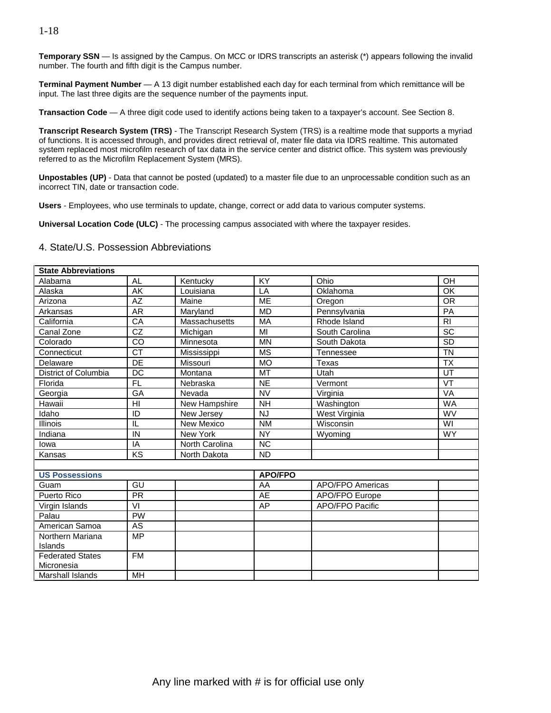#### 1-18

**Temporary SSN** — Is assigned by the Campus. On MCC or IDRS transcripts an asterisk (\*) appears following the invalid number. The fourth and fifth digit is the Campus number.

**Terminal Payment Number** — A 13 digit number established each day for each terminal from which remittance will be input. The last three digits are the sequence number of the payments input.

**Transaction Code** — A three digit code used to identify actions being taken to a taxpayer's account. See Section 8.

**Transcript Research System (TRS)** - The Transcript Research System (TRS) is a realtime mode that supports a myriad of functions. It is accessed through, and provides direct retrieval of, mater file data via IDRS realtime. This automated system replaced most microfilm research of tax data in the service center and district office. This system was previously referred to as the Microfilm Replacement System (MRS).

**Unpostables (UP)** - Data that cannot be posted (updated) to a master file due to an unprocessable condition such as an incorrect TIN, date or transaction code.

**Users** - Employees, who use terminals to update, change, correct or add data to various computer systems.

**Universal Location Code (ULC)** - The processing campus associated with where the taxpayer resides.

#### 4. State/U.S. Possession Abbreviations

| <b>State Abbreviations</b> |                          |                 |                |                        |                |
|----------------------------|--------------------------|-----------------|----------------|------------------------|----------------|
| Alabama                    | AL                       | Kentucky        | KY             | Ohio                   | OH             |
| Alaska                     | $\overline{\mathsf{AK}}$ | Louisiana       | LA             | Oklahoma               | OK             |
| Arizona                    | <b>AZ</b>                | Maine           | <b>MF</b>      | Oregon                 | <b>OR</b>      |
| Arkansas                   | <b>AR</b>                | Maryland        | <b>MD</b>      | Pennsylvania           | PA             |
| California                 | CA                       | Massachusetts   | MA             | Rhode Island           | R <sub>l</sub> |
| Canal Zone                 | CZ                       | Michigan        | MI             | South Carolina         | SC             |
| Colorado                   | $\overline{co}$          | Minnesota       | <b>MN</b>      | South Dakota           | SD             |
| Connecticut                | $\overline{\text{CT}}$   | Mississippi     | <b>MS</b>      | Tennessee              | <b>TN</b>      |
| Delaware                   | DE                       | Missouri        | <b>MO</b>      | Texas                  | <b>TX</b>      |
| District of Columbia       | <b>DC</b>                | Montana         | <b>MT</b>      | Utah                   | UT             |
| Florida                    | <b>FL</b>                | Nebraska        | <b>NE</b>      | Vermont                | VT             |
| Georgia                    | GA                       | Nevada          | <b>NV</b>      | Virginia               | VA             |
| Hawaii                     | HI                       | New Hampshire   | <b>NH</b>      | Washington             | <b>WA</b>      |
| Idaho                      | ID                       | New Jersey      | <b>NJ</b>      | West Virginia          | <b>WV</b>      |
| <b>Illinois</b>            | IL                       | New Mexico      | <b>NM</b>      | Wisconsin              | WI             |
| Indiana                    | IN                       | <b>New York</b> | <b>NY</b>      | Wyoming                | <b>WY</b>      |
| lowa                       | IA                       | North Carolina  | <b>NC</b>      |                        |                |
| Kansas                     | $\overline{KS}$          | North Dakota    | <b>ND</b>      |                        |                |
|                            |                          |                 |                |                        |                |
| <b>US Possessions</b>      |                          |                 | <b>APO/FPO</b> |                        |                |
| Guam                       | $\overline{GU}$          |                 | AA             | APO/FPO Americas       |                |
| Puerto Rico                | $\overline{PR}$          |                 | AE             | <b>APO/FPO Europe</b>  |                |
| Virgin Islands             | VI                       |                 | AP             | <b>APO/FPO Pacific</b> |                |
| Palau                      | <b>PW</b>                |                 |                |                        |                |
| American Samoa             | $\overline{\text{AS}}$   |                 |                |                        |                |
| Northern Mariana           | <b>MP</b>                |                 |                |                        |                |
| Islands                    |                          |                 |                |                        |                |
| <b>Federated States</b>    | <b>FM</b>                |                 |                |                        |                |
| Micronesia                 |                          |                 |                |                        |                |
| Marshall Islands           | MH                       |                 |                |                        |                |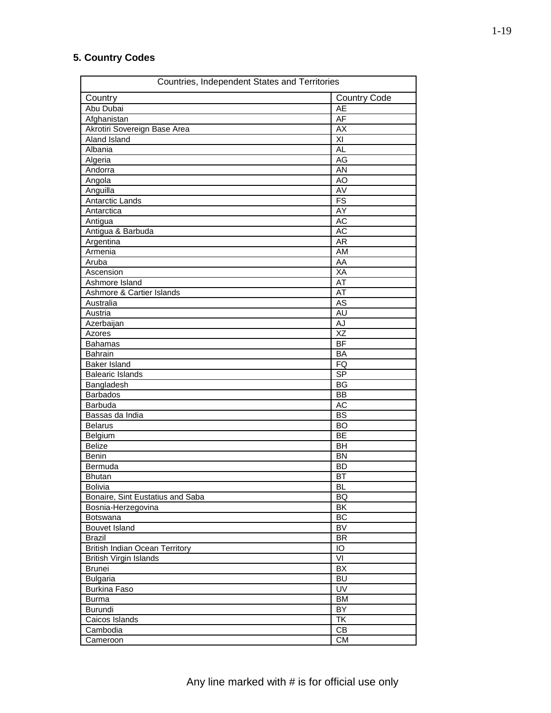## **5. Country Codes**

| Countries, Independent States and Territories |                          |
|-----------------------------------------------|--------------------------|
| Country                                       | <b>Country Code</b>      |
| Abu Dubai                                     | AE                       |
| Afghanistan                                   | AF                       |
| Akrotiri Sovereign Base Area                  | $\overline{AX}$          |
| Aland Island                                  | XI                       |
| Albania                                       | AL                       |
| Algeria                                       | AG                       |
| Andorra                                       | $\overline{AN}$          |
| Angola                                        | AO                       |
| Anguilla                                      | AV                       |
| <b>Antarctic Lands</b>                        | FS                       |
| Antarctica                                    | $\overline{AY}$          |
|                                               |                          |
| Antigua                                       | AC                       |
| Antigua & Barbuda                             | AC                       |
| Argentina                                     | <b>AR</b>                |
| Armenia                                       | <b>AM</b>                |
| Aruba                                         | AA                       |
| Ascension                                     | <b>XA</b>                |
| Ashmore Island                                | AT                       |
| Ashmore & Cartier Islands                     | AT                       |
| Australia                                     | AS                       |
| Austria                                       | <b>AU</b>                |
| Azerbaijan                                    | AJ                       |
| Azores                                        | XZ                       |
| <b>Bahamas</b>                                | BF                       |
| Bahrain                                       | <b>BA</b>                |
| <b>Baker Island</b>                           | FQ                       |
| <b>Balearic Islands</b>                       | S <sub>P</sub>           |
| Bangladesh                                    | <b>BG</b>                |
| <b>Barbados</b>                               | <b>BB</b>                |
| Barbuda                                       | AC                       |
| Bassas da India                               | <b>BS</b>                |
| <b>Belarus</b>                                | <b>BO</b>                |
|                                               | BE                       |
| Belgium<br><b>Belize</b>                      | <b>BH</b>                |
|                                               | <b>BN</b>                |
| <b>Benin</b>                                  |                          |
| Bermuda                                       | <b>BD</b>                |
| <b>Bhutan</b>                                 | BT                       |
| Bolivia                                       | <b>BL</b>                |
| Bonaire, Sint Eustatius and Saba              | BQ                       |
| Bosnia-Herzegovina                            | BK                       |
| Botswana                                      | BC                       |
| Bouvet Island                                 | BV                       |
| <b>Brazil</b>                                 | <b>BR</b>                |
| <b>British Indian Ocean Territory</b>         | IO                       |
| <b>British Virgin Islands</b>                 | VI                       |
| <b>Brunei</b>                                 | BX                       |
| <b>Bulgaria</b>                               | <b>BU</b>                |
| <b>Burkina Faso</b>                           | UV                       |
| Burma                                         | BM                       |
| Burundi                                       | BY                       |
| Caicos Islands                                | $\overline{\mathsf{TK}}$ |
| Cambodia                                      | CB                       |
| Cameroon                                      | CM                       |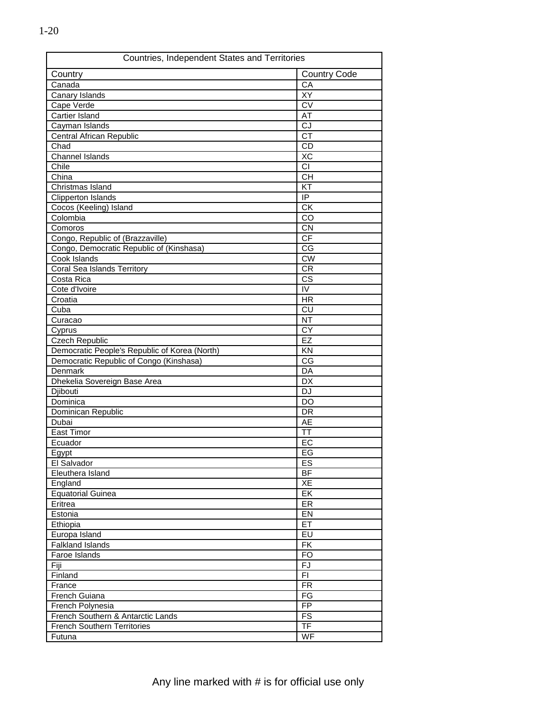| Countries, Independent States and Territories |                          |  |
|-----------------------------------------------|--------------------------|--|
| Country                                       | <b>Country Code</b>      |  |
| Canada                                        | CA                       |  |
| Canary Islands                                | XY                       |  |
| Cape Verde                                    | <b>CV</b>                |  |
| Cartier Island                                | AT                       |  |
| Cayman Islands                                | CJ                       |  |
| Central African Republic                      | <b>CT</b>                |  |
| Chad                                          | CD                       |  |
| <b>Channel Islands</b>                        | XC                       |  |
| Chile                                         |                          |  |
| China                                         | <b>CH</b>                |  |
| Christmas Island                              | KT                       |  |
| <b>Clipperton Islands</b>                     | $\overline{P}$           |  |
| Cocos (Keeling) Island                        | $\overline{CK}$          |  |
| Colombia                                      | $\overline{c}$           |  |
| Comoros                                       | <b>CN</b>                |  |
| Congo, Republic of (Brazzaville)              | <b>CF</b>                |  |
| Congo, Democratic Republic of (Kinshasa)      | CG                       |  |
| Cook Islands                                  | <b>CW</b>                |  |
| <b>Coral Sea Islands Territory</b>            | $\overline{\text{CR}}$   |  |
| Costa Rica                                    | <b>CS</b>                |  |
| Cote d'Ivoire                                 | $\overline{N}$           |  |
| Croatia                                       | <b>HR</b>                |  |
| Cuba                                          | <b>CU</b>                |  |
| Curacao                                       | <b>NT</b>                |  |
| Cyprus                                        | CY                       |  |
| <b>Czech Republic</b>                         | EZ                       |  |
| Democratic People's Republic of Korea (North) | KN                       |  |
| Democratic Republic of Congo (Kinshasa)       | $\overline{\text{CG}}$   |  |
| Denmark                                       | DA                       |  |
| Dhekelia Sovereign Base Area                  | DX                       |  |
| Djibouti                                      | <b>DJ</b>                |  |
| Dominica                                      | <b>DO</b>                |  |
| Dominican Republic                            | DR                       |  |
| Dubai                                         | AE                       |  |
| East Timor                                    | $\overline{\mathsf{T}}$  |  |
| Ecuador                                       | EC                       |  |
| <b>Egypt</b>                                  | EG                       |  |
| El Salvador                                   | ES                       |  |
| Eleuthera Island                              | BF                       |  |
| England                                       | XE                       |  |
| <b>Equatorial Guinea</b>                      | EK                       |  |
| Eritrea                                       | ER                       |  |
| Estonia                                       | EN                       |  |
| Ethiopia                                      | ET                       |  |
| Europa Island                                 | EU                       |  |
| <b>Falkland Islands</b>                       | FK                       |  |
| Faroe Islands                                 | <b>FO</b>                |  |
| Fiji                                          | FJ                       |  |
| Finland                                       | FI.                      |  |
| France                                        | $\overline{\mathsf{FR}}$ |  |
| French Guiana                                 | FG                       |  |
| French Polynesia                              | <b>FP</b>                |  |
| French Southern & Antarctic Lands             | FS                       |  |
| <b>French Southern Territories</b>            | $\overline{\mathsf{TF}}$ |  |
| Futuna                                        | WF                       |  |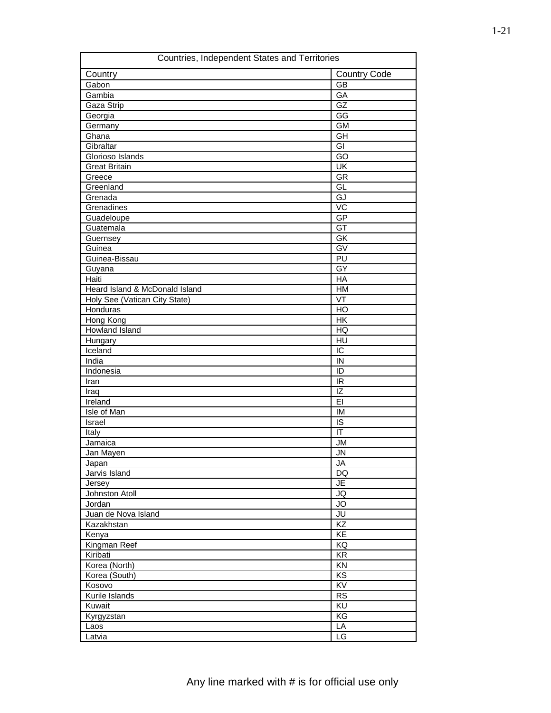| Countries, Independent States and Territories |                          |
|-----------------------------------------------|--------------------------|
| Country                                       | <b>Country Code</b>      |
| Gabon                                         | <b>GB</b>                |
| Gambia                                        | GA                       |
| Gaza Strip                                    | GZ                       |
| Georgia                                       | $\overline{\text{GG}}$   |
| Germany                                       | $\overline{GM}$          |
| Ghana                                         | GH                       |
| Gibraltar                                     | GI                       |
| Glorioso Islands                              | $\overline{GO}$          |
| <b>Great Britain</b>                          | $\overline{\mathsf{U}}$  |
| Greece                                        | <b>GR</b>                |
| Greenland                                     | GL                       |
| Grenada                                       | GJ                       |
| Grenadines                                    | $\overline{VC}$          |
| Guadeloupe                                    | GP                       |
| Guatemala                                     | $\overline{GT}$          |
| Guernsey                                      | GK                       |
| Guinea                                        | $\overline{GV}$          |
| Guinea-Bissau                                 | PU                       |
| Guyana                                        | GY                       |
| Haiti                                         | HA                       |
| Heard Island & McDonald Island                | <b>HM</b>                |
| Holy See (Vatican City State)                 | $\overline{\mathsf{VT}}$ |
| Honduras                                      | $\overline{HO}$          |
| Hong Kong                                     | HK                       |
| Howland Island                                | HQ                       |
| Hungary                                       | HU                       |
| Iceland                                       | $\overline{C}$           |
| India                                         | $\overline{I}$           |
| Indonesia                                     | ID                       |
| Iran                                          | <b>IR</b>                |
| Iraq                                          | $\overline{1Z}$          |
| Ireland                                       | E                        |
| Isle of Man                                   | IM                       |
| Israel                                        | IS                       |
| Italy                                         | $\overline{\mathbb{T}}$  |
| Jamaica                                       | <b>JM</b>                |
| Jan Mayen                                     | <b>JN</b>                |
| Japan                                         | JA                       |
| Jarvis Island                                 | <b>DQ</b>                |
| Jersey                                        | JE                       |
| Johnston Atoll                                | JQ                       |
| Jordan                                        | $\overline{5}$           |
| Juan de Nova Island                           | JU                       |
| Kazakhstan                                    | KZ                       |
| Kenya                                         | KE                       |
| Kingman Reef                                  | KQ                       |
| Kiribati                                      | $\overline{KR}$          |
| Korea (North)                                 | KN                       |
| Korea (South)                                 | KS                       |
| Kosovo                                        | $\overline{KV}$          |
| Kurile Islands                                | <b>RS</b>                |
| Kuwait                                        | KU                       |
| Kyrgyzstan                                    | KG                       |
| Laos                                          | LA                       |
| Latvia                                        | LG                       |
|                                               |                          |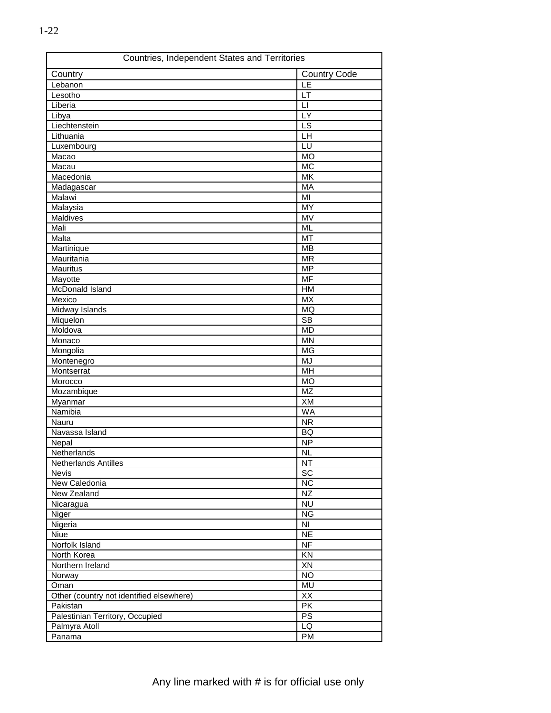| Countries, Independent States and Territories |                          |
|-----------------------------------------------|--------------------------|
| Country                                       | <b>Country Code</b>      |
| Lebanon                                       | LE                       |
| Lesotho                                       | LT                       |
| Liberia                                       | $\mathsf{L}$             |
| Libya                                         | LY                       |
| Liechtenstein                                 | $\overline{\text{LS}}$   |
| Lithuania                                     | LH                       |
| Luxembourg                                    | LU                       |
| Macao                                         | <b>MO</b>                |
| Macau                                         | <b>MC</b>                |
| Macedonia                                     | $\overline{\mathsf{MK}}$ |
| Madagascar                                    | MA                       |
| Malawi                                        | $\overline{M}$           |
| Malaysia                                      | <b>MY</b>                |
| Maldives                                      | $\overline{\text{MV}}$   |
| Mali                                          | <b>ML</b>                |
| Malta                                         | MT                       |
| Martinique                                    | <b>MB</b>                |
| Mauritania                                    | <b>MR</b>                |
| Mauritus                                      | <b>MP</b>                |
| Mayotte                                       | <b>MF</b>                |
| McDonald Island                               | H M                      |
| Mexico                                        | <b>MX</b>                |
| Midway Islands                                | <b>MQ</b>                |
| Miquelon                                      | $\overline{\text{SB}}$   |
| Moldova                                       | <b>MD</b>                |
| Monaco                                        | <b>MN</b>                |
| Mongolia                                      | <b>MG</b>                |
| Montenegro                                    | <b>MJ</b>                |
| Montserrat                                    | MH                       |
| Morocco                                       | <b>MO</b>                |
| Mozambique                                    | $\overline{MZ}$          |
| Myanmar                                       | XM                       |
| Namibia                                       | <b>WA</b>                |
| Nauru                                         | <b>NR</b>                |
| Navassa Island                                | <b>BQ</b>                |
| Nepal                                         | <b>NP</b>                |
| Netherlands                                   | <b>NL</b>                |
| Netherlands Antilles                          | <b>NT</b>                |
| Nevis                                         | $\overline{SC}$          |
| New Caledonia                                 | $\overline{NC}$          |
| New Zealand                                   | NZ                       |
| Nicaragua                                     | <b>NU</b>                |
| Niger                                         | <b>NG</b>                |
| Nigeria                                       | NI                       |
| Niue                                          | <b>NE</b>                |
| Norfolk Island                                | <b>NF</b>                |
| North Korea                                   | KN                       |
| Northern Ireland                              | XN                       |
| Norway                                        | <b>NO</b>                |
| Oman                                          | MU                       |
| Other (country not identified elsewhere)      | XX                       |
| Pakistan                                      | PK                       |
| Palestinian Territory, Occupied               | PS                       |
| Palmyra Atoll                                 | LQ                       |
| Panama                                        | <b>PM</b>                |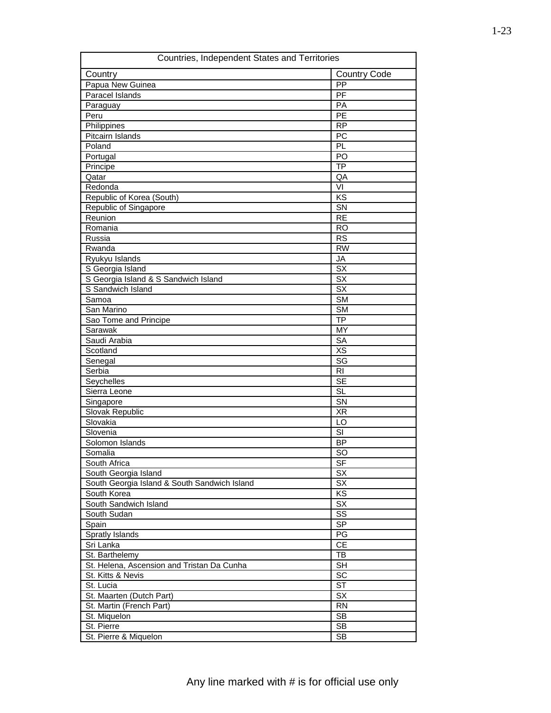| Countries, Independent States and Territories |                                              |  |
|-----------------------------------------------|----------------------------------------------|--|
| Country                                       | <b>Country Code</b>                          |  |
| Papua New Guinea                              | PP                                           |  |
| Paracel Islands                               | $\overline{PF}$                              |  |
| Paraguay                                      | PA                                           |  |
| Peru                                          | $\overline{PE}$                              |  |
| Philippines                                   | <b>RP</b>                                    |  |
| Pitcairn Islands                              | PC                                           |  |
| Poland                                        | PL                                           |  |
| Portugal                                      | $\overline{PQ}$                              |  |
| Principe                                      | $\overline{TP}$                              |  |
| Qatar                                         | QA                                           |  |
| Redonda                                       | VI                                           |  |
| Republic of Korea (South)                     | KS                                           |  |
| Republic of Singapore                         | $\overline{\text{SN}}$                       |  |
| Reunion                                       | $\overline{RE}$                              |  |
| Romania                                       | <b>RO</b>                                    |  |
| Russia                                        | <b>RS</b>                                    |  |
| Rwanda                                        | $\overline{RW}$                              |  |
| Ryukyu Islands                                | JA                                           |  |
| S Georgia Island                              | $\overline{\mathsf{S}}\overline{\mathsf{X}}$ |  |
| S Georgia Island & S Sandwich Island          | $\overline{\mathsf{S}}\overline{\mathsf{X}}$ |  |
| S Sandwich Island                             | SX                                           |  |
| Samoa                                         | <b>SM</b>                                    |  |
| San Marino                                    | $\overline{\text{SM}}$                       |  |
| Sao Tome and Principe                         | $\overline{TP}$                              |  |
| Sarawak                                       | MY                                           |  |
| Saudi Arabia                                  | SA                                           |  |
| Scotland                                      | XS                                           |  |
| Senegal                                       | $\overline{\text{SG}}$                       |  |
| Serbia                                        | R <sub>l</sub>                               |  |
| Seychelles                                    | <b>SE</b>                                    |  |
| Sierra Leone                                  | $\overline{\text{SL}}$                       |  |
| Singapore                                     | SN                                           |  |
| Slovak Republic                               | <b>XR</b>                                    |  |
| Slovakia                                      | $\overline{LO}$                              |  |
| Slovenia                                      | $\overline{\mathsf{SI}}$                     |  |
| Solomon Islands                               | <b>BP</b>                                    |  |
| Somalia                                       | SO                                           |  |
| South Africa                                  | <b>SF</b>                                    |  |
| South Georgia Island                          | SX                                           |  |
| South Georgia Island & South Sandwich Island  | $\overline{\mathsf{S}}\mathsf{X}$            |  |
| South Korea                                   | $\overline{KS}$                              |  |
| South Sandwich Island                         | <b>SX</b>                                    |  |
| South Sudan                                   | SS                                           |  |
| Spain                                         | SP                                           |  |
| Spratly Islands                               | PG                                           |  |
| Sri Lanka                                     | CE                                           |  |
| St. Barthelemy                                | TB                                           |  |
| St. Helena, Ascension and Tristan Da Cunha    | <b>SH</b>                                    |  |
| St. Kitts & Nevis                             | SC                                           |  |
| St. Lucia                                     | $\overline{\text{ST}}$                       |  |
| St. Maarten (Dutch Part)                      | SX                                           |  |
| St. Martin (French Part)                      | <b>RN</b>                                    |  |
| St. Miquelon                                  | SB                                           |  |
| St. Pierre                                    | <b>SB</b>                                    |  |
| St. Pierre & Miquelon                         | SB                                           |  |